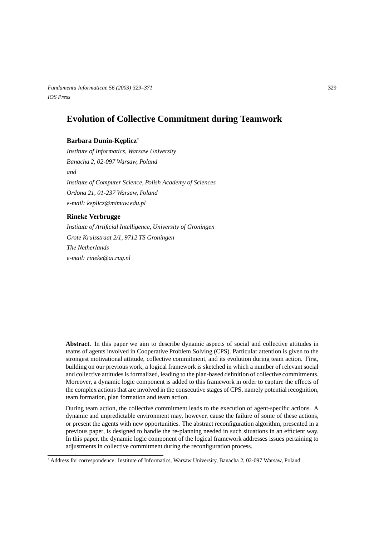*Fundamenta Informaticae 56 (2003) 329–371* 329 *IOS Press*

# **Evolution of Collective Commitment during Teamwork**

### **Barbara Dunin-Keplicz\***

*Institute of Informatics, Warsaw University Banacha 2, 02-097 Warsaw, Poland and Institute of Computer Science, Polish Academy of Sciences Ordona 21, 01-237 Warsaw, Poland e-mail: keplicz@mimuw.edu.pl*

### **Rineke Verbrugge**

*Institute of Artificial Intelligence, University of Groningen Grote Kruisstraat 2/1, 9712 TS Groningen The Netherlands e-mail: rineke@ai.rug.nl*

**Abstract.** In this paper we aim to describe dynamic aspects of social and collective attitudes in teams of agents involved in Cooperative Problem Solving (CPS). Particular attention is given to the strongest motivational attitude, collective commitment, and its evolution during team action. First, building on our previous work, a logical framework is sketched in which a number of relevant social and collective attitudes is formalized, leading to the plan-based definition of collective commitments. Moreover, a dynamic logic component is added to this framework in order to capture the effects of the complex actions that are involved in the consecutive stages of CPS, namely potential recognition, team formation, plan formation and team action.

During team action, the collective commitment leads to the execution of agent-specific actions. A dynamic and unpredictable environment may, however, cause the failure of some of these actions, or present the agents with new opportunities. The abstract reconfiguration algorithm, presented in a previous paper, is designed to handle the re-planning needed in such situations in an efficient way. In this paper, the dynamic logic component of the logical framework addresses issues pertaining to adjustments in collective commitment during the reconfiguration process.

Address for correspondence: Institute of Informatics, Warsaw University, Banacha 2, 02-097 Warsaw, Poland \*\*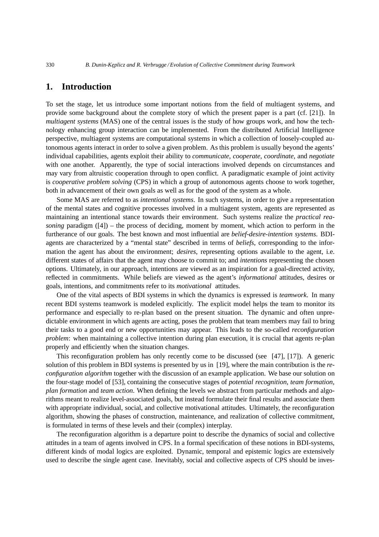# **1. Introduction**

To set the stage, let us introduce some important notions from the field of multiagent systems, and provide some background about the complete story of which the present paper is a part (cf. [21]). In *multiagent systems* (MAS) one of the central issues is the study of how groups work, and how the technology enhancing group interaction can be implemented. From the distributed Artificial Intelligence perspective, multiagent systems are computational systems in which a collection of loosely-coupled autonomous agents interact in order to solve a given problem. As this problem is usually beyond the agents' individual capabilities, agents exploit their ability to *communicate*, *cooperate*, *coordinate*, and *negotiate* with one another. Apparently, the type of social interactions involved depends on circumstances and may vary from altruistic cooperation through to open conflict. A paradigmatic example of joint activity is *cooperative problem solving* (CPS) in which a group of autonomous agents choose to work together, both in advancement of their own goals as well as for the good of the system as a whole.

Some MAS are referred to as *intentional systems*. In such systems, in order to give a representation of the mental states and cognitive processes involved in a multiagent system, agents are represented as maintaining an intentional stance towards their environment. Such systems realize the *practical reasoning* paradigm ([4]) – the process of deciding, moment by moment, which action to perform in the furtherance of our goals. The best known and most influential are *belief-desire-intention systems*. BDIagents are characterized by a "mental state" described in terms of *beliefs*, corresponding to the information the agent has about the environment; *desires*, representing options available to the agent, i.e. different states of affairs that the agent may choose to commit to; and *intentions* representing the chosen options. Ultimately, in our approach, intentions are viewed as an inspiration for a goal-directed activity, reflected in commitments. While beliefs are viewed as the agent's *informational* attitudes, desires or goals, intentions, and commitments refer to its *motivational* attitudes.

One of the vital aspects of BDI systems in which the dynamics is expressed is *teamwork*. In many recent BDI systems teamwork is modeled explicitly. The explicit model helps the team to monitor its performance and especially to re-plan based on the present situation. The dynamic and often unpredictable environment in which agents are acting, poses the problem that team members may fail to bring their tasks to a good end or new opportunities may appear. This leads to the so-called *reconfiguration problem*: when maintaining a collective intention during plan execution, it is crucial that agents re-plan properly and efficiently when the situation changes.

This reconfiguration problem has only recently come to be discussed (see [47], [17]). A generic solution of this problem in BDI systems is presented by us in [19], where the main contribution is the *reconfiguration algorithm* together with the discussion of an example application. We base our solution on the four-stage model of [53], containing the consecutive stages of *potential recognition*, *team formation*, *plan formation* and *team action*. When defining the levels we abstract from particular methods and algorithms meant to realize level-associated goals, but instead formulate their final results and associate them with appropriate individual, social, and collective motivational attitudes. Ultimately, the reconfiguration algorithm, showing the phases of construction, maintenance, and realization of collective commitment, is formulated in terms of these levels and their (complex) interplay.

The reconfiguration algorithm is a departure point to describe the dynamics of social and collective attitudes in a team of agents involved in CPS. In a formal specification of these notions in BDI-systems, different kinds of modal logics are exploited. Dynamic, temporal and epistemic logics are extensively used to describe the single agent case. Inevitably, social and collective aspects of CPS should be inves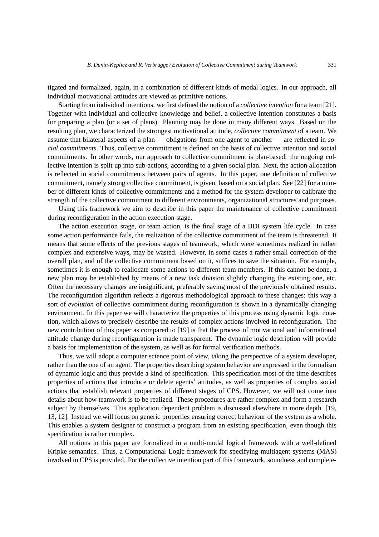tigated and formalized, again, in a combination of different kinds of modal logics. In our approach, all individual motivational attitudes are viewed as primitive notions.

Starting from individual intentions, we first defined the notion of a *collective intention* for a team [21]. Together with individual and collective knowledge and belief, a collective intention constitutes a basis for preparing a plan (or a set of plans). Planning may be done in many different ways. Based on the resulting plan, we characterized the strongest motivational attitude, *collective commitment* of a team. We assume that bilateral aspects of a plan — obligations from one agent to another — are reflected in *social commitments*. Thus, collective commitment is defined on the basis of collective intention and social commitments. In other words, our approach to collective commitment is plan-based: the ongoing collective intention is split up into sub-actions, according to a given social plan. Next, the action allocation is reflected in social commitments between pairs of agents. In this paper, one definition of collective commitment, namely strong collective commitment, is given, based on a social plan. See [22] for a number of different kinds of collective commitments and a method for the system developer to calibrate the strength of the collective commitment to different environments, organizational structures and purposes.

Using this framework we aim to describe in this paper the maintenance of collective commitment during reconfiguration in the action execution stage.

The action execution stage, or team action, is the final stage of a BDI system life cycle. In case some action performance fails, the realization of the collective commitment of the team is threatened. It means that some effects of the previous stages of teamwork, which were sometimes realized in rather complex and expensive ways, may be wasted. However, in some cases a rather small correction of the overall plan, and of the collective commitment based on it, suffices to save the situation. For example, sometimes it is enough to reallocate some actions to different team members. If this cannot be done, a new plan may be established by means of a new task division slightly changing the existing one, etc. Often the necessary changes are insignificant, preferably saving most of the previously obtained results. The reconfiguration algorithm reflects a rigorous methodological approach to these changes: this way a sort of *evolution* of collective commitment during reconfiguration is shown in a dynamically changing environment. In this paper we will characterize the properties of this process using dynamic logic notation, which allows to precisely describe the results of complex actions involved in reconfiguration. The new contribution of this paper as compared to [19] is that the process of motivational and informational attitude change during reconfiguration is made transparent. The dynamic logic description will provide a basis for implementation of the system, as well as for formal verification methods.

Thus, we will adopt a computer science point of view, taking the perspective of a system developer, rather than the one of an agent. The properties describing system behavior are expressed in the formalism of dynamic logic and thus provide a kind of specification. This specification most of the time describes properties of actions that introduce or delete agents' attitudes, as well as properties of complex social actions that establish relevant properties of different stages of CPS. However, we will not come into details about how teamwork is to be realized. These procedures are rather complex and form a research subject by themselves. This application dependent problem is discussed elsewhere in more depth [19, 13, 12]. Instead we will focus on generic properties ensuring correct behaviour of the system as a whole. This enables a system designer to construct a program from an existing specification, even though this specification is rather complex.

All notions in this paper are formalized in a multi-modal logical framework with a well-defined Kripke semantics. Thus, a Computational Logic framework for specifying multiagent systems (MAS) involved in CPS is provided. For the collective intention part of this framework, soundness and complete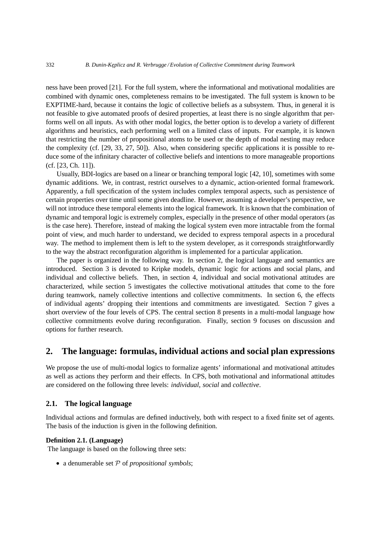ness have been proved [21]. For the full system, where the informational and motivational modalities are combined with dynamic ones, completeness remains to be investigated. The full system is known to be EXPTIME-hard, because it contains the logic of collective beliefs as a subsystem. Thus, in general it is not feasible to give automated proofs of desired properties, at least there is no single algorithm that performs well on all inputs. As with other modal logics, the better option is to develop a variety of different algorithms and heuristics, each performing well on a limited class of inputs. For example, it is known that restricting the number of propositional atoms to be used or the depth of modal nesting may reduce the complexity (cf. [29, 33, 27, 50]). Also, when considering specific applications it is possible to reduce some of the infinitary character of collective beliefs and intentions to more manageable proportions (cf. [23, Ch. 11]).

Usually, BDI-logics are based on a linear or branching temporal logic [42, 10], sometimes with some dynamic additions. We, in contrast, restrict ourselves to a dynamic, action-oriented formal framework. Apparently, a full specification of the system includes complex temporal aspects, such as persistence of certain properties over time until some given deadline. However, assuming a developer's perspective, we will not introduce these temporal elements into the logical framework. It is known that the combination of dynamic and temporal logic is extremely complex, especially in the presence of other modal operators (as is the case here). Therefore, instead of making the logical system even more intractable from the formal point of view, and much harder to understand, we decided to express temporal aspects in a procedural way. The method to implement them is left to the system developer, as it corresponds straightforwardly to the way the abstract reconfiguration algorithm is implemented for a particular application.

The paper is organized in the following way. In section 2, the logical language and semantics are introduced. Section 3 is devoted to Kripke models, dynamic logic for actions and social plans, and individual and collective beliefs. Then, in section 4, individual and social motivational attitudes are characterized, while section 5 investigates the collective motivational attitudes that come to the fore during teamwork, namely collective intentions and collective commitments. In section 6, the effects of individual agents' dropping their intentions and commitments are investigated. Section 7 gives a short overview of the four levels of CPS. The central section 8 presents in a multi-modal language how collective commitments evolve during reconfiguration. Finally, section 9 focuses on discussion and options for further research.

# **2. The language: formulas, individual actions and social plan expressions**

We propose the use of multi-modal logics to formalize agents' informational and motivational attitudes as well as actions they perform and their effects. In CPS, both motivational and informational attitudes are considered on the following three levels: *individual*, *social* and *collective*.

### **2.1. The logical language**

Individual actions and formulas are defined inductively, both with respect to a fixed finite set of agents. The basis of the induction is given in the following definition.

#### **Definition 2.1. (Language)**

The language is based on the following three sets:

 $\bullet$  a denumerable set  $P$  of *propositional symbols*;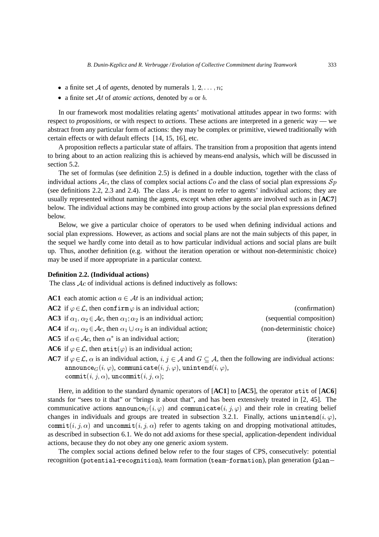- a finite set A of *agents*, denoted by numerals  $1, 2, \ldots, n$ ;
- a finite set  $\mathcal{A}t$  of *atomic actions*, denoted by  $a$  or  $b$ .

In our framework most modalities relating agents' motivational attitudes appear in two forms: with respect to *propositions*, or with respect to *actions*. These actions are interpreted in a generic way — we abstract from any particular form of actions: they may be complex or primitive, viewed traditionally with certain effects or with default effects [14, 15, 16], etc.

A proposition reflects a particular state of affairs. The transition from a proposition that agents intend to bring about to an action realizing this is achieved by means-end analysis, which will be discussed in section 5.2.

The set of formulas (see definition 2.5) is defined in a double induction, together with the class of individual actions  $Ac$ , the class of complex social actions  $Co$  and the class of social plan expressions  $Sp$ (see definitions 2.2, 2.3 and 2.4). The class  $Ac$  is meant to refer to agents' individual actions; they are usually represented without naming the agents, except when other agents are involved such as in [**AC7**] below. The individual actions may be combined into group actions by the social plan expressions defined below.

Below, we give a particular choice of operators to be used when defining individual actions and social plan expressions. However, as actions and social plans are not the main subjects of this paper, in the sequel we hardly come into detail as to how particular individual actions and social plans are built up. Thus, another definition (e.g. without the iteration operation or without non-deterministic choice) may be used if more appropriate in a particular context.

#### **Definition 2.2. (Individual actions)**

The class  $Ac$  of individual actions is defined inductively as follows:

| <b>AC1</b> each atomic action $a \in \mathcal{A}$ is an individual action;                                   |                            |
|--------------------------------------------------------------------------------------------------------------|----------------------------|
| AC2 if $\varphi \in \mathcal{L}$ , then confirm $\varphi$ is an individual action;                           | (confirmation)             |
| <b>AC3</b> if $\alpha_1, \alpha_2 \in \mathcal{A}c$ , then $\alpha_1, \alpha_2$ is an individual action;     | (sequential composition)   |
| <b>AC4</b> if $\alpha_1, \alpha_2 \in \mathcal{A}c$ , then $\alpha_1 \cup \alpha_2$ is an individual action; | (non-deterministic choice) |
| <b>AC5</b> if $\alpha \in \mathcal{A}c$ , then $\alpha^*$ is an individual action;                           | ( <i>iteration</i> )       |
| AC6 if $\varphi \in \mathcal{L}$ , then stit( $\varphi$ ) is an individual action;                           |                            |
|                                                                                                              |                            |

**AC7** if  $\varphi \in \mathcal{L}$ ,  $\alpha$  is an individual action,  $i, j \in \mathcal{A}$  and  $G \subseteq \mathcal{A}$ , then the following are individual actions:  $\texttt{announce}_G(i,\varphi), \, \texttt{communicate}(i,j,\varphi),\, \texttt{unintend}(i,\varphi),$  $\texttt{commit}(i, j, \alpha), \, \texttt{uncommit}(i, j, \alpha);$ 

Here, in addition to the standard dynamic operators of [AC1] to [AC5], the operator stit of [AC6] stands for "sees to it that" or "brings it about that", and has been extensively treated in [2, 45]. The communicative actions announce $_G(i, \varphi)$  and communicate $(i, j, \varphi)$  and their role in creating belief changes in individuals and groups are treated in subsection 3.2.1. Finally, actions unintend $(i, \varphi)$ , commit $(i, j, \alpha)$  and uncommit $(i, j, \alpha)$  refer to agents taking on and dropping motivational attitudes, as described in subsection 6.1. We do not add axioms for these special, application-dependent individual actions, because they do not obey any one generic axiom system.

The complex social actions defined below refer to the four stages of CPS, consecutively: potential recognition (potential-recognition), team formation (team-formation), plan generation (plan—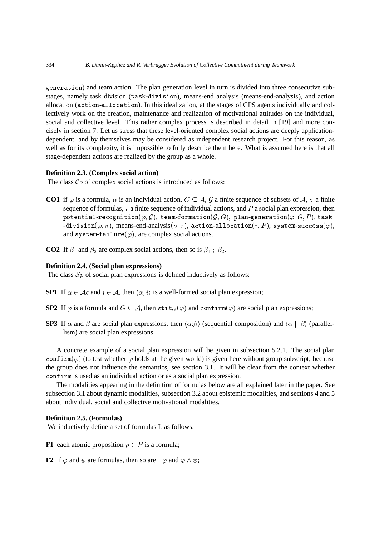generation) and team action. The plan generation level in turn is divided into three consecutive substages, namely task division (task-division), means-end analysis (means-end-analysis), and action allocation (action-allocation). In this idealization, at the stages of CPS agents individually and collectively work on the creation, maintenance and realization of motivational attitudes on the individual, social and collective level. This rather complex process is described in detail in [19] and more concisely in section 7. Let us stress that these level-oriented complex social actions are deeply applicationdependent, and by themselves may be considered as independent research project. For this reason, as well as for its complexity, it is impossible to fully describe them here. What is assumed here is that all stage-dependent actions are realized by the group as a whole.

#### **Definition 2.3. (Complex social action)**

The class  $Co$  of complex social actions is introduced as follows:

- **CO1** if  $\varphi$  is a formula,  $\alpha$  is an individual action,  $G \subseteq A$ ,  $\mathcal{G}$  a finite sequence of subsets of  $\mathcal{A}$ ,  $\sigma$  a finite sequence of formulas,  $\tau$  a finite sequence of individual actions, and  $P$  a social plan expression, then  ${\tt potential\text{-}recognition}(\varphi, \mathcal{G}),\ {\tt team\text{-}formation}(\mathcal{G}, G),\ {\tt plan\text{-}generation}(\varphi, G, P),\ {\tt task}$ -division $(\varphi,\sigma)$ , means-end-analysis $(\sigma,\tau)$ , action-allocation $(\tau,P)$ , system-success $(\varphi),$ and system-failure( $\varphi$ ), are complex social actions.
- **CO2** If  $\beta_1$  and  $\beta_2$  are complex social actions, then so is  $\beta_1$ ;  $\beta_2$ .

### **Definition 2.4. (Social plan expressions)**

The class  $\mathcal{S}p$  of social plan expressions is defined inductively as follows:

- **SP1** If  $\alpha \in \mathcal{A}c$  and  $i \in \mathcal{A}$ , then  $\langle \alpha, i \rangle$  is a well-formed social plan expression;
- **SP2** If  $\varphi$  is a formula and  $G \subseteq \mathcal{A}$ , then  $\texttt{stit}_G(\varphi)$  and  $\texttt{confirm}(\varphi)$  are social plan expressions;
- **SP3** If  $\alpha$  and  $\beta$  are social plan expressions, then  $\langle \alpha; \beta \rangle$  (sequential composition) and  $\langle \alpha \parallel \beta \rangle$  (parallellism) are social plan expressions.

A concrete example of a social plan expression will be given in subsection 5.2.1. The social plan confirm( $\varphi$ ) (to test whether  $\varphi$  holds at the given world) is given here without group subscript, because the group does not influence the semantics, see section 3.1. It will be clear from the context whether confirm is used as an individual action or as a social plan expression.

The modalities appearing in the definition of formulas below are all explained later in the paper. See subsection 3.1 about dynamic modalities, subsection 3.2 about epistemic modalities, and sections 4 and 5 about individual, social and collective motivational modalities.

### **Definition 2.5. (Formulas)**

We inductively define a set of formulas L as follows.

**F1** each atomic proposition  $p \in \mathcal{P}$  is a formula;

**F2** if  $\varphi$  and  $\psi$  are formulas, then so are  $\neg \varphi$  and  $\varphi \wedge \psi$ ;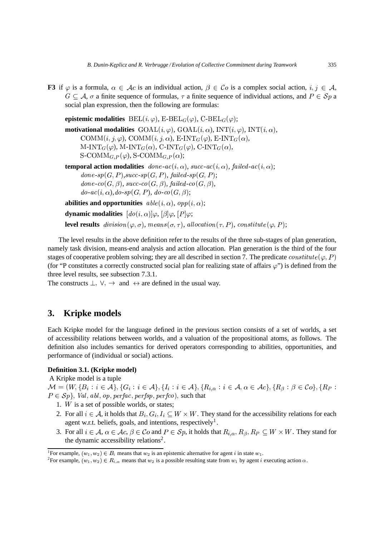**F3** if  $\varphi$  is a formula,  $\alpha \in \mathcal{A}c$  is an individual action,  $\beta \in \mathcal{C}o$  is a complex social action,  $i, j \in \mathcal{A}$ ,  $G \subseteq A$ ,  $\sigma$  a finite sequence of formulas,  $\tau$  a finite sequence of individual actions, and  $P \in \mathcal{S}p$  a social plan expression, then the following are formulas:

**epistemic modalities**  $\text{BEL}(i, \varphi)$ ,  $\text{E-BEL}_G(\varphi)$ ,  $\text{C-BEL}_G(\varphi)$ ;

**motivational modalities**  $\text{GOAL}(i, \varphi)$ ,  $\text{GOAL}(i, \alpha)$ ,  $\text{INT}(i, \varphi)$ ,  $\text{INT}(i, \alpha)$ ,  $\text{COMM}(i, j, \varphi)$ ,  $\text{COMM}(i, j, \alpha)$ , E-INT $_G(\varphi)$ , E-INT $_G(\alpha)$ , M-INT $_G(\varphi)$ , M-INT $_G(\alpha)$ , C-INT $_G(\varphi)$ , C-INT $_G(\alpha)$ ,  $\mathrm{S}\text{-}\mathrm{COMM}_{G,P}(\varphi), \, \mathrm{S}\text{-}\mathrm{COMM}_{G,P}(\alpha);$ **temporal action modalities**  $\phi$  *done-ac*(*i*,  $\alpha$ ), *succ-ac*(*i*,  $\alpha$ ), *failed-ac*(*i*,  $\alpha$ );  $done \text{-}sp(G, P), succ \text{-}sp(G, P), failed \text{-}sp(G, P);$  $done\text{-}co(G,\beta), succ\text{-}co(G,\beta), failed\text{-}co(G,\beta),$  $do\text{-}ac(i, \alpha), do\text{-}sp(G, P),\ do\text{-}co(G, \beta);$ **abilities and opportunities**  $\text{able}(i, \alpha)$ ,  $\text{opp}(i, \alpha)$ ;

**dynamic modalities**  $[do(i, \alpha)]\varphi$ ,  $[\beta]\varphi$ ,  $[P]\varphi$ ;

**level results**  $division(\varphi, \sigma)$ ,  $means(\sigma, \tau)$ , allocation( $\tau$ , P), constitute( $\varphi$ , P);

The level results in the above definition refer to the results of the three sub-stages of plan generation, namely task division, means-end analysis and action allocation. Plan generation is the third of the four stages of cooperative problem solving; they are all described in section 7. The predicate  $constitute$  ( $\varphi$ , P) (for "P constitutes a correctly constructed social plan for realizing state of affairs  $\varphi$ ") is defined from the three level results, see subsection 7.3.1.

The constructs  $\perp$ ,  $\vee$ ,  $\rightarrow$  and  $\leftrightarrow$  are defined in the usual way.

# **3. Kripke models**

Each Kripke model for the language defined in the previous section consists of a set of worlds, a set of accessibility relations between worlds, and a valuation of the propositional atoms, as follows. The definition also includes semantics for derived operators corresponding to abilities, opportunities, and performance of (individual or social) actions.

#### **Definition 3.1. (Kripke model)**

A Kripke model is a tuple

 $\mathcal{M} = (W, \{B_i : i \in \mathcal{A}\}, \{G_i : i \in \mathcal{A}\}, \{I_i : i \in \mathcal{A}\}, \{R_{i,\alpha} : i \in \mathcal{A}, \alpha \in \mathcal{A}c\}, \{R_{\beta} : \beta \in \mathcal{C}o\}, \{R_P : \beta \in \mathcal{C}c\}$  $P \in Sp$ , Val, abl, op, perfac, perfsp, perfco), such that

- 1. W is a set of possible worlds, or states;
- 2. For all  $i \in A$ , it holds that  $B_i, G_i, I_i \subseteq W \times W$ . They stand for the accessibility relations for each agent w.r.t. beliefs, goals, and intentions, respectively<sup>1</sup>.
- 3. For all  $i \in A$ ,  $\alpha \in \mathcal{A}c$ ,  $\beta \in \mathcal{C}o$  and  $P \in \mathcal{S}p$ , it holds that  $R_{i,\alpha}, R_{\beta}, R_P \subseteq W \times W$ . They stand for the dynamic accessibility relations<sup>2</sup>.

<sup>&</sup>lt;sup>1</sup>For example,  $(w_1, w_2) \in B_i$  means that  $w_2$  is an epistemic alternative for agent i in state  $w_1$ .

<sup>&</sup>lt;sup>2</sup>For example,  $(w_1, w_2) \in R_{i,\alpha}$  means that  $w_2$  is a possible resulting state from  $w_1$  by agent i executing action  $\alpha$ .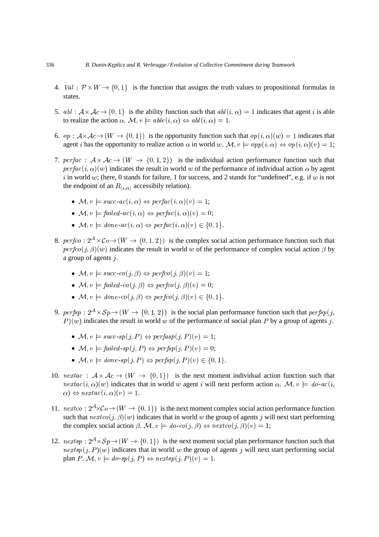- 4.  $Val: \mathcal{P} \times W \rightarrow \{0,1\}$  is the function that assigns the truth values to propositional formulas in states.
- 5.  $abl : \mathcal{A} \times \mathcal{A}c \rightarrow \{0,1\}$  is the ability function such that  $abl(i, \alpha) = 1$  indicates that agent i is able to realize the action  $\alpha$ .  $\mathcal{M}, v \models \text{able}(i, \alpha) \Leftrightarrow \text{abl}(i, \alpha) = 1$ .
- 6.  $op: A \times A_c \to (W \to \{0,1\})$  is the opportunity function such that  $op(i, \alpha)(w) = 1$  indicates that agent *i* has the opportunity to realize action  $\alpha$  in world w.  $\mathcal{M}, v \models opp(i, \alpha) \Leftrightarrow op(i, \alpha)(v) = 1$ ;
- 7. perfac :  $A \times Ac \rightarrow (W \rightarrow \{0,1,2\})$  is the individual action performance function such that  $\text{perfac}(i, \alpha)(w)$  indicates the result in world w of the performance of individual action  $\alpha$  by agent i in world w; (here, 0 stands for failure, 1 for success, and 2 stands for "undefined", e.g. if w is not the endpoint of an  $R_{(i,\alpha)}$  accessibily relation).
	- $\mathcal{M}, v \models succ-ac(i, \alpha) \Leftrightarrow perfac(i, \alpha)(v) = 1;$
	- $\mathcal{M}, v \models failed\text{-}ac(i, \alpha) \Leftrightarrow perfac(i, \alpha)(v) = 0;$
	- $\mathcal{M}, v \models done\text{-}ac(i, \alpha) \Leftrightarrow \text{perfac}(i, \alpha)(v) \in \{0, 1\}.$
- 8. perfco:  $2^{\mathcal{A}} \times \mathcal{C}$ o  $\rightarrow$   $(W \rightarrow \{0, 1, 2\})$  is the complex social action performance function such that  $perfco(j, \beta)(w)$  indicates the result in world w of the performance of complex social action  $\beta$  by a group of agents  $j$ .
	- $\mathcal{M}, v \models succ\text{-}co(j, \beta) \Leftrightarrow perfco(j, \beta)(v) = 1;$
	- $\mathcal{M}, v \models failed\text{-}co(j, \beta) \Leftrightarrow perfco(j, \beta)(v) = 0;$
	- $\mathcal{M}, v \models done\textit{-co}(j, \beta) \Leftrightarrow \textit{perfco}(j, \beta)(v) \in \{0, 1\}.$
- 9.  $\text{perfsp}: 2^{\mathcal{A}} \times \mathcal{S}p \to (W \to \{0, 1, 2\})$  is the social plan performance function such that  $\text{perfsp}(j, \mathcal{S})$  $P(w)$  indicates the result in world w of the performance of social plan P by a group of agents j.
	- $\mathcal{M}, v \models succ \text{-}sp(j, P) \Leftrightarrow perfasp(j, P)(v) = 1;$
	- $\mathcal{M}, v \models failed \text{-}sp(j, P) \Leftrightarrow perfsp(j, P)(v) = 0;$
	- $\mathcal{M}, v \models done \textit{-sp}(j, P) \Leftrightarrow \textit{perfsp}(j, P)(v) \in \{0, 1\}.$
- 10.  $nextac : \mathcal{A} \times \mathcal{A}c \rightarrow (W \rightarrow \{0,1\})$  is the next moment individual action function such that  $nextac(i, \alpha)(w)$  indicates that in world w agent i will next perform action  $\alpha$ .  $\mathcal{M}, v \models do\text{-}ac(i, \alpha)$  $\alpha$   $\Leftrightarrow$  nextac(i,  $\alpha$ )(v) = 1.
- 11.  $nextco: 2<sup>A</sup>×C<sub>0</sub> \rightarrow (W \rightarrow \{0,1\})$  is the next moment complex social action performance function such that  $nextco(j, \beta)(w)$  indicates that in world w the group of agents j will next start performing the complex social action  $\beta$ .  $\mathcal{M}, v \models do\text{-}co(j, \beta) \Leftrightarrow nextco(j, \beta)(v) = 1;$
- 12.  $\textit{nextsp}: 2^{\mathcal{A}} \times Sp \to (W \to \{0,1\})$  is the next moment social plan performance function such that  $\textit{nextsp}(j, P)(w)$  indicates that in world w the group of agents j will next start performing social plan  $P \colon \mathcal{M}, v \models do \text{-}sp(j, P) \Leftrightarrow nextsp(j, P)(v) = 1.$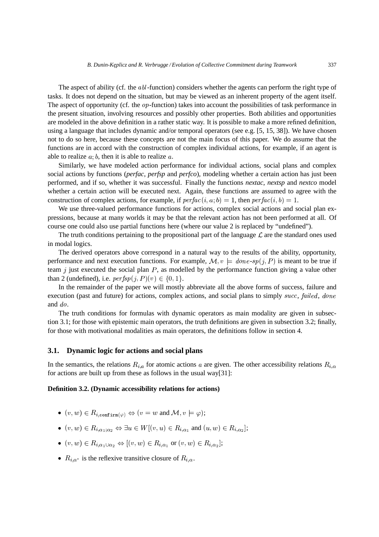The aspect of ability (cf. the  $abl$ -function) considers whether the agents can perform the right type of tasks. It does not depend on the situation, but may be viewed as an inherent property of the agent itself. The aspect of opportunity (cf. the  $op$ -function) takes into account the possibilities of task performance in the present situation, involving resources and possibly other properties. Both abilities and opportunities are modeled in the above definition in a rather static way. It is possible to make a more refined definition, using a language that includes dynamic and/or temporal operators (see e.g. [5, 15, 38]). We have chosen not to do so here, because these concepts are not the main focus of this paper. We do assume that the functions are in accord with the construction of complex individual actions, for example, if an agent is able to realize  $a$ ;  $b$ , then it is able to realize  $a$ .

Similarly, we have modeled action performance for individual actions, social plans and complex social actions by functions (*perfac*, *perfsp* and *perfco*), modeling whether a certain action has just been performed, and if so, whether it was successful. Finally the functions *nextac*, *nextsp* and *nextco* model whether a certain action will be executed next. Again, these functions are assumed to agree with the construction of complex actions, for example, if  $\text{perfac}(i, a; b) = 1$ , then  $\text{perfac}(i, b) = 1$ .

We use three-valued performance functions for actions, complex social actions and social plan expressions, because at many worlds it may be that the relevant action has not been performed at all. Of course one could also use partial functions here (where our value 2 is replaced by "undefined").

The truth conditions pertaining to the propositional part of the language  $\mathcal L$  are the standard ones used in modal logics.

The derived operators above correspond in a natural way to the results of the ability, opportunity, performance and next execution functions. For example,  $\mathcal{M}, v \models done \textit{-sp}(j, P)$  is meant to be true if team  $j$  just executed the social plan  $P$ , as modelled by the performance function giving a value other than 2 (undefined), i.e.  $\text{perfsp}(j, P)(v) \in \{0, 1\}.$ 

In the remainder of the paper we will mostly abbreviate all the above forms of success, failure and execution (past and future) for actions, complex actions, and social plans to simply succ, failed, done and  $do$ .

The truth conditions for formulas with dynamic operators as main modality are given in subsection 3.1; for those with epistemic main operators, the truth definitions are given in subsection 3.2; finally, for those with motivational modalities as main operators, the definitions follow in section 4.

### **3.1. Dynamic logic for actions and social plans**

In the semantics, the relations  $R_{i,a}$  for atomic actions a are given. The other accessibility relations  $R_{i,\alpha}$ for actions are built up from these as follows in the usual way[31]:

#### **Definition 3.2. (Dynamic accessibility relations for actions)**

- $(v, w) \in R_{i, \text{confirm}(\varphi)} \Leftrightarrow (v = w \text{ and } M, v \models \varphi);$
- $(v, w) \in R_{i, \alpha_1; \alpha_2} \Leftrightarrow \exists u \in W[(v, u) \in R_{i, \alpha_1} \text{ and } (u, w) \in R_{i, \alpha_2}];$
- $(v, w) \in R_{i, \alpha_1 \cup \alpha_2} \Leftrightarrow (v, w) \in R_{i, \alpha_1}$  or  $(v, w) \in R_{i, \alpha_2}$ ;
- $R_{i,\alpha^*}$  is the reflexive transitive closure of  $R_{i,\alpha}$ .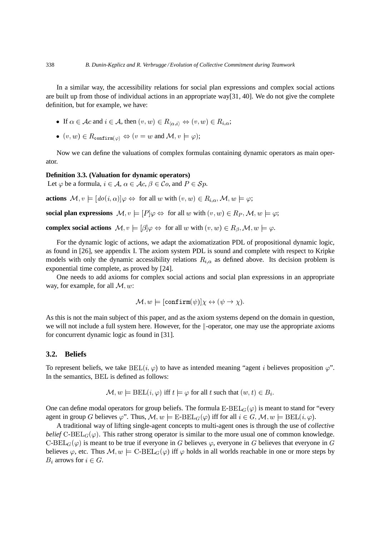In a similar way, the accessibility relations for social plan expressions and complex social actions are built up from those of individual actions in an appropriate way[31, 40]. We do not give the complete definition, but for example, we have:

- If  $\alpha \in \mathcal{A}c$  and  $i \in \mathcal{A}$ , then  $(v, w) \in R_{\langle \alpha, i \rangle} \Leftrightarrow (v, w) \in R_{i,\alpha}$ ;
- $(v, w) \in R_{\text{confirm}(\varphi)} \Leftrightarrow (v = w \text{ and } M, v \models \varphi);$

Now we can define the valuations of complex formulas containing dynamic operators as main operator.

#### **Definition 3.3. (Valuation for dynamic operators)**

Let  $\varphi$  be a formula,  $i \in \mathcal{A}$ ,  $\alpha \in \mathcal{A}$ c,  $\beta \in \mathcal{C}$ o, and  $P \in \mathcal{S}p$ .

**actions**  $\mathcal{M}, v \models [do(i, \alpha)] \varphi \Leftrightarrow$  for all w with  $(v, w) \in R_{i, \alpha}, \mathcal{M}, w \models \varphi;$ 

**social plan expressions**  $\mathcal{M}, v \models [P]\varphi \Leftrightarrow$  for all w with  $(v, w) \in R_P, \mathcal{M}, w \models \varphi;$ 

**complex social actions**  $\mathcal{M}, v \models [\beta] \varphi \Leftrightarrow$  for all w with  $(v, w) \in R_{\beta}, \mathcal{M}, w \models \varphi$ .

For the dynamic logic of actions, we adapt the axiomatization PDL of propositional dynamic logic, as found in [26], see appendix I. The axiom system PDL is sound and complete with respect to Kripke models with only the dynamic accessibility relations  $R_{i,\alpha}$  as defined above. Its decision problem is exponential time complete, as proved by [24].

One needs to add axioms for complex social actions and social plan expressions in an appropriate way, for example, for all  $\mathcal{M}, w$ :

$$
\mathcal{M},w\models[\mathtt{confirm}(\psi)]\chi\leftrightarrow(\psi\rightarrow\chi).
$$

As this is not the main subject of this paper, and as the axiom systems depend on the domain in question, we will not include a full system here. However, for the  $\|$ -operator, one may use the appropriate axioms for concurrent dynamic logic as found in [31].

#### **3.2. Beliefs**

To represent beliefs, we take  $BEL(i, \varphi)$  to have as intended meaning "agent *i* believes proposition  $\varphi$ ". In the semantics, BEL is defined as follows:

$$
\mathcal{M}, w \models \text{BEL}(i, \varphi) \text{ iff } t \models \varphi \text{ for all } t \text{ such that } (w, t) \in B_i.
$$

One can define modal operators for group beliefs. The formula  $E-BEL_G(\varphi)$  is meant to stand for "every agent in group G believes  $\varphi$ ". Thus,  $\mathcal{M}, w \models \text{E-BEL}_G(\varphi)$  iff for all  $i \in G$ ,  $\mathcal{M}, w \models \text{BEL}(i, \varphi)$ .

A traditional way of lifting single-agent concepts to multi-agent ones is through the use of *collective belief*  $C-BEL_G(\varphi)$ . This rather strong operator is similar to the more usual one of common knowledge. C-BEL $_G(\varphi)$  is meant to be true if everyone in G believes  $\varphi$ , everyone in G believes that everyone in G believes  $\varphi$ , etc. Thus  $\mathcal{M}, w \models C-BEL_G(\varphi)$  iff  $\varphi$  holds in all worlds reachable in one or more steps by  $B_i$  arrows for  $i \in G$ .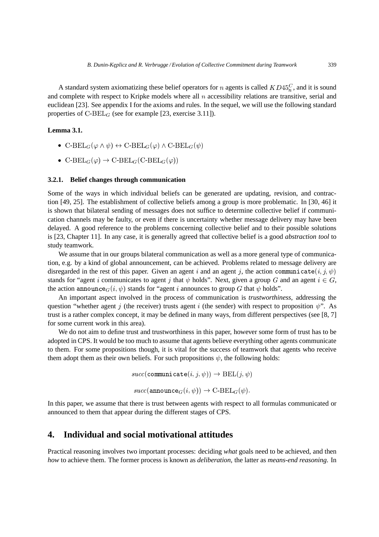A standard system axiomatizing these belief operators for *n* agents is called  $KD45<sub>n</sub><sup>C</sup>$ , and it is sound and complete with respect to Kripke models where all  $n$  accessibility relations are transitive, serial and euclidean [23]. See appendix I for the axioms and rules. In the sequel, we will use the following standard properties of  $C-BEL_G$  (see for example [23, exercise 3.11]).

### **Lemma 3.1.**

- C-BEL $_G(\varphi \land \psi) \leftrightarrow C$ -BEL $_G(\varphi) \land C$ -BEL $_G(\psi)$ <br>C-BEL $(G, \text{DFL} \land \psi)$
- $\mathrm{C\text{-}BEL}_G(\varphi) \rightarrow \mathrm{C\text{-}BEL}_G(\mathrm{C\text{-}BEL}_G(\varphi))$

#### **3.2.1. Belief changes through communication**

Some of the ways in which individual beliefs can be generated are updating, revision, and contraction [49, 25]. The establishment of collective beliefs among a group is more problematic. In [30, 46] it is shown that bilateral sending of messages does not suffice to determine collective belief if communication channels may be faulty, or even if there is uncertainty whether message delivery may have been delayed. A good reference to the problems concerning collective belief and to their possible solutions is [23, Chapter 11]. In any case, it is generally agreed that collective belief is a good *abstraction tool* to study teamwork.

We assume that in our groups bilateral communication as well as a more general type of communication, e.g. by a kind of global announcement, can be achieved. Problems related to message delivery are disregarded in the rest of this paper. Given an agent i and an agent j, the action communicate $(i, j, \psi)$ stands for "agent i communicates to agent j that  $\psi$  holds". Next, given a group G and an agent  $i \in G$ , the action announce $_G(i, \psi)$  stands for "agent i announces to group G that  $\psi$  holds".

An important aspect involved in the process of communication is *trustworthiness*, addressing the question "whether agent  $j$  (the receiver) trusts agent  $i$  (the sender) with respect to proposition  $\psi$ ". As trust is a rather complex concept, it may be defined in many ways, from different perspectives (see [8, 7] for some current work in this area).

We do not aim to define trust and trustworthiness in this paper, however some form of trust has to be adopted in CPS. It would be too much to assume that agents believe everything other agents communicate to them. For some propositions though, it is vital for the success of teamwork that agents who receive them adopt them as their own beliefs. For such propositions  $\psi$ , the following holds:

 $succ(\texttt{communicate}(i, j, \psi)) \rightarrow \texttt{BEL}(j, \psi)$ 

 $succ(\texttt{announce}_{G}(i, \psi)) \rightarrow \text{C-BEL}_{G}(\psi).$ 

In this paper, we assume that there is trust between agents with respect to all formulas communicated or announced to them that appear during the different stages of CPS.

# **4. Individual and social motivational attitudes**

Practical reasoning involves two important processes: deciding *what* goals need to be achieved, and then *how* to achieve them. The former process is known as *deliberation*, the latter as *means-end reasoning*. In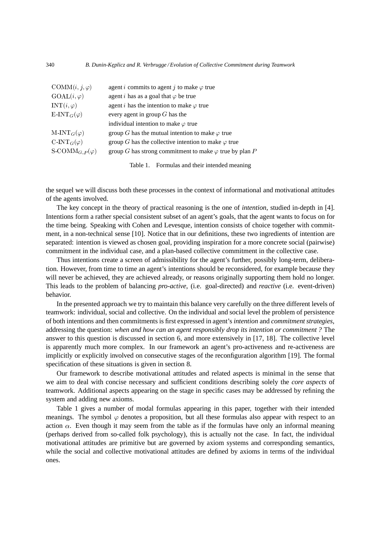| $\text{COMM}(i, j, \varphi)$            | agent <i>i</i> commits to agent <i>j</i> to make $\varphi$ true |
|-----------------------------------------|-----------------------------------------------------------------|
| $GOAL(i, \varphi)$                      | agent <i>i</i> has as a goal that $\varphi$ be true             |
| $INT(i, \varphi)$                       | agent <i>i</i> has the intention to make $\varphi$ true         |
| $E\text{-INT}_G(\varphi)$               | every agent in group $G$ has the                                |
|                                         | individual intention to make $\varphi$ true                     |
| $M-INT_G(\varphi)$                      | group G has the mutual intention to make $\varphi$ true         |
| $C\text{-INT}_G(\varphi)$               | group G has the collective intention to make $\varphi$ true     |
| $S\text{-}\mathrm{COMM}_{G,P}(\varphi)$ | group G has strong commitment to make $\varphi$ true by plan P  |
|                                         |                                                                 |

Table 1. Formulas and their intended meaning

the sequel we will discuss both these processes in the context of informational and motivational attitudes of the agents involved.

The key concept in the theory of practical reasoning is the one of *intention*, studied in-depth in [4]. Intentions form a rather special consistent subset of an agent's goals, that the agent wants to focus on for the time being. Speaking with Cohen and Levesque, intention consists of choice together with commitment, in a non-technical sense [10]. Notice that in our definitions, these two ingredients of intention are separated: intention is viewed as chosen goal, providing inspiration for a more concrete social (pairwise) commitment in the individual case, and a plan-based collective commitment in the collective case.

Thus intentions create a screen of admissibility for the agent's further, possibly long-term, deliberation. However, from time to time an agent's intentions should be reconsidered, for example because they will never be achieved, they are achieved already, or reasons originally supporting them hold no longer. This leads to the problem of balancing *pro-active*, (i.e. goal-directed) and *reactive* (i.e. event-driven) behavior.

In the presented approach we try to maintain this balance very carefully on the three different levels of teamwork: individual, social and collective. On the individual and social level the problem of persistence of both intentions and then commitments is first expressed in agent's *intention* and *commitment strategies*, addressing the question: *when and how can an agent responsibly drop its intention or commitment ?* The answer to this question is discussed in section 6, and more extensively in [17, 18]. The collective level is apparently much more complex. In our framework an agent's pro-activeness and re-activeness are implicitly or explicitly involved on consecutive stages of the reconfiguration algorithm [19]. The formal specification of these situations is given in section 8.

Our framework to describe motivational attitudes and related aspects is minimal in the sense that we aim to deal with concise necessary and sufficient conditions describing solely the *core aspects* of teamwork. Additional aspects appearing on the stage in specific cases may be addressed by refining the system and adding new axioms.

Table 1 gives a number of modal formulas appearing in this paper, together with their intended meanings. The symbol  $\varphi$  denotes a proposition, but all these formulas also appear with respect to an action  $\alpha$ . Even though it may seem from the table as if the formulas have only an informal meaning (perhaps derived from so-called folk psychology), this is actually not the case. In fact, the individual motivational attitudes are primitive but are governed by axiom systems and corresponding semantics, while the social and collective motivational attitudes are defined by axioms in terms of the individual ones.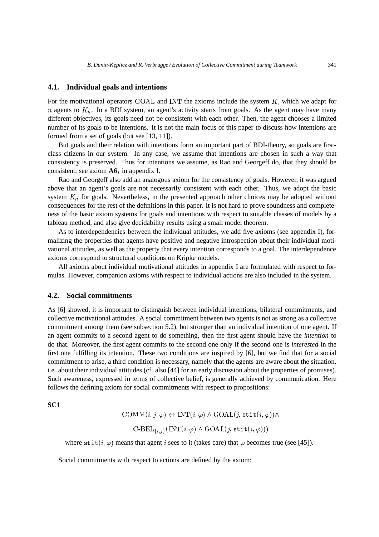### **4.1. Individual goals and intentions**

For the motivational operators GOAL and INT the axioms include the system  $K$ , which we adapt for n agents to  $K_n$ . In a BDI system, an agent's activity starts from goals. As the agent may have many different objectives, its goals need not be consistent with each other. Then, the agent chooses a limited number of its goals to be intentions. It is not the main focus of this paper to discuss how intentions are formed from a set of goals (but see [13, 11]).

But goals and their relation with intentions form an important part of BDI-theory, so goals are firstclass citizens in our system. In any case, we assume that intentions are chosen in such a way that consistency is preserved. Thus for intentions we assume, as Rao and Georgeff do, that they should be consistent, see axiom  $A6<sub>I</sub>$  in appendix I.

Rao and Georgeff also add an analogous axiom for the consistency of goals. However, it was argued above that an agent's goals are not necessarily consistent with each other. Thus, we adopt the basic system  $K_n$  for goals. Nevertheless, in the presented approach other choices may be adopted without consequences for the rest of the definitions in this paper. It is not hard to prove soundness and completeness of the basic axiom systems for goals and intentions with respect to suitable classes of models by a tableau method, and also give decidability results using a small model theorem.

As to interdependencies between the individual attitudes, we add five axioms (see appendix I), formalizing the properties that agents have positive and negative introspection about their individual motivational attitudes, as well as the property that every intention corresponds to a goal. The interdependence axioms correspond to structural conditions on Kripke models.

All axioms about individual motivational attitudes in appendix I are formulated with respect to formulas. However, companion axioms with respect to individual actions are also included in the system.

#### **4.2. Social commitments**

As [6] showed, it is important to distinguish between individual intentions, bilateral commitments, and collective motivational attitudes. A social commitment between two agents is not as strong as a collective commitment among them (see subsection 5.2), but stronger than an individual intention of one agent. If an agent commits to a second agent to do something, then the first agent should have the *intention* to do that. Moreover, the first agent commits to the second one only if the second one is *interested* in the first one fulfilling its intention. These two conditions are inspired by [6], but we find that for a social commitment to arise, a third condition is necessary, namely that the agents are aware about the situation, i.e. about their individual attitudes (cf. also [44] for an early discussion about the properties of promises). Such awareness, expressed in terms of collective belief, is generally achieved by communication. Here follows the defining axiom for social commitments with respect to propositions:

**SC1**

$$
COMM(i, j, \varphi) \leftrightarrow INT(i, \varphi) \land GOAL(j, \texttt{stit}(i, \varphi)) \land
$$

$$
C-BEL_{\{i, j\}}(INT(i, \varphi) \land GOAL(j, \texttt{stit}(i, \varphi)))
$$

where  $\text{stit}(i, \varphi)$  means that agent i sees to it (takes care) that  $\varphi$  becomes true (see [45]).

Social commitments with respect to actions are defined by the axiom: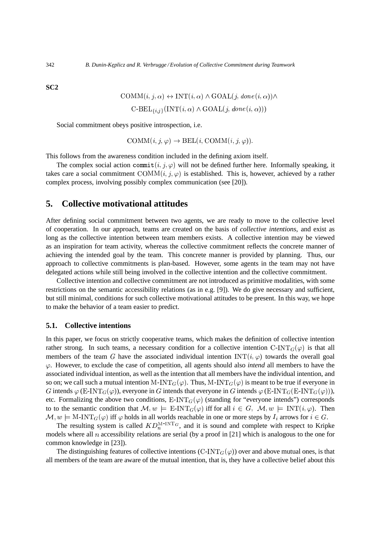**SC2**

$$
COMM(i, j, \alpha) \leftrightarrow INT(i, \alpha) \land GOAL(j, done(i, \alpha)) \land
$$
  
C-BEL<sub>{i, j}</sub>(INT(i, \alpha)  $\land$  GOAL(j, done(i, \alpha)))

Social commitment obeys positive introspection, i.e.

 $\text{COMM}(i, i, \varphi) \rightarrow \text{BEL}(i, \text{COMM}(i, i, \varphi)).$ 

This follows from the awareness condition included in the defining axiom itself.

The complex social action commit $(i, j, \varphi)$  will not be defined further here. Informally speaking, it takes care a social commitment  $\text{COMM}(i, j, \varphi)$  is established. This is, however, achieved by a rather complex process, involving possibly complex communication (see [20]).

## **5. Collective motivational attitudes**

After defining social commitment between two agents, we are ready to move to the collective level of cooperation. In our approach, teams are created on the basis of *collective intentions*, and exist as long as the collective intention between team members exists. A collective intention may be viewed as an inspiration for team activity, whereas the collective commitment reflects the concrete manner of achieving the intended goal by the team. This concrete manner is provided by planning. Thus, our approach to collective commitments is plan-based. However, some agents in the team may not have delegated actions while still being involved in the collective intention and the collective commitment.

Collective intention and collective commitment are not introduced as primitive modalities, with some restrictions on the semantic accessibility relations (as in e.g. [9]). We do give necessary and sufficient, but still minimal, conditions for such collective motivational attitudes to be present. In this way, we hope to make the behavior of a team easier to predict.

### **5.1. Collective intentions**

In this paper, we focus on strictly cooperative teams, which makes the definition of collective intention rather strong. In such teams, a necessary condition for a collective intention  $C\text{-INT}_G(\varphi)$  is that all members of the team G have the associated individual intention  $INT(i, \varphi)$  towards the overall goal  $\varphi$ . However, to exclude the case of competition, all agents should also *intend* all members to have the associated individual intention, as well as the intention that all members have the individual intention, and so on; we call such a mutual intention M-INT  $_G(\varphi)$ . Thus, M-INT  $_G(\varphi)$  is meant to be true if everyone in G intends  $\varphi$  (E-INT<sub>G</sub>( $\varphi$ )), everyone in G intends that everyone in G intends  $\varphi$  (E-INT<sub>G</sub>(E-INT<sub>G</sub>( $\varphi$ ))), etc. Formalizing the above two conditions,  $E\text{-INT}_G(\varphi)$  (standing for "everyone intends") corresponds to to the semantic condition that  $\mathcal{M}, w \models E\text{-INT}_G(\varphi)$  iff for all  $i \in G$ ,  $\mathcal{M}, w \models \text{INT}(i, \varphi)$ . Then  $\mathcal{M}, w \models \text{M-INT}_G(\varphi)$  iff  $\varphi$  holds in all worlds reachable in one or more steps by  $I_i$  arrows for  $i \in G$ .

The resulting system is called  $KD_n^{\text{M-INT}_G}$ , and it is sound and complete with respect to Kripke models where all  $n$  accessibility relations are serial (by a proof in [21] which is analogous to the one for common knowledge in [23]).

The distinguishing features of collective intentions (C-INT<sub> $G(\varphi)$ </sub>) over and above mutual ones, is that all members of the team are aware of the mutual intention, that is, they have a collective belief about this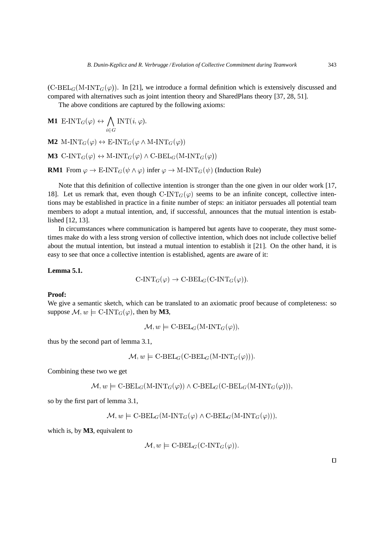$(C-BEL_G(M-INT_G(\varphi))$ . In [21], we introduce a formal definition which is extensively discussed and compared with alternatives such as joint intention theory and SharedPlans theory [37, 28, 51].

The above conditions are captured by the following axioms:

**M1**  $E\text{-INT}_G(\varphi) \leftrightarrow \bigwedge_{\alpha} \text{INT}(i, \varphi).$  $\mathrm{INT}(i,\varphi).$ **M2**  $M\text{-}INT_G(\varphi) \leftrightarrow \text{E-INT}_G(\varphi \land M\text{-}INT_G(\varphi))$ **M3** C-INT<sub>G</sub>( $\varphi$ )  $\leftrightarrow$  M-INT<sub>G</sub>( $\varphi$ )  $\land$  C-BEL<sub>G</sub>(M-INT<sub>G</sub>( $\varphi$ )) **RM1** From  $\varphi \to \text{E-INT}_G(\psi \land \varphi)$  infer  $\varphi \to \text{M-INT}_G(\psi)$  (Induction Rule)

Note that this definition of collective intention is stronger than the one given in our older work [17, 18]. Let us remark that, even though  $\text{C-INT}_G(\varphi)$  seems to be an infinite concept, collective intentions may be established in practice in a finite number of steps: an initiator persuades all potential team members to adopt a mutual intention, and, if successful, announces that the mutual intention is established [12, 13].

In circumstances where communication is hampered but agents have to cooperate, they must sometimes make do with a less strong version of collective intention, which does not include collective belief about the mutual intention, but instead a mutual intention to establish it [21]. On the other hand, it is easy to see that once a collective intention is established, agents are aware of it:

### **Lemma 5.1.**

$$
C\text{-INT}_G(\varphi) \to C\text{-BEL}_G(C\text{-INT}_G(\varphi)).
$$

### **Proof:**

We give a semantic sketch, which can be translated to an axiomatic proof because of completeness: so suppose  $\mathcal{M}, w \models \text{C-INT}_G(\varphi)$ , then by **M3**,

 $\mathcal{M}, w \models \text{C-BEL}_G(\text{M-INT}_G(\varphi)),$ 

thus by the second part of lemma 3.1,

 $\mathcal{M}, w \models \text{C-BEL}_G(\text{C-BEL}_G(\text{M-INT}_G(\varphi))).$ 

Combining these two we get

$$
\mathcal{M}, w \models \text{C-BEL}_G(\text{M-INT}_G(\varphi)) \land \text{C-BEL}_G(\text{C-BEL}_G(\text{M-INT}_G(\varphi))),
$$

so by the first part of lemma 3.1,

 $\mathcal{M}, w \models \text{C-BEL}_G(\text{M-INT}_G(\varphi) \land \text{C-BEL}_G(\text{M-INT}_G(\varphi))),$ 

which is, by **M3**, equivalent to

$$
\mathcal{M}, w \models \text{C-BEL}_G(\text{C-INT}_G(\varphi)).
$$

 $\Box$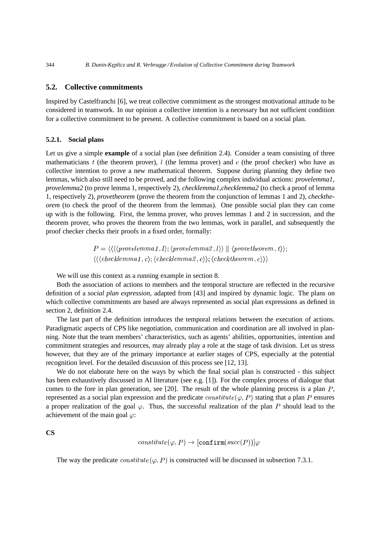### **5.2. Collective commitments**

Inspired by Castelfranchi [6], we treat collective commitment as the strongest motivational attitude to be considered in teamwork. In our opinion a collective intention is a necessary but not sufficient condition for a collective commitment to be present. A collective commitment is based on a social plan.

#### **5.2.1. Social plans**

Let us give a simple **example** of a social plan (see definition 2.4). Consider a team consisting of three mathematicians  $t$  (the theorem prover),  $l$  (the lemma prover) and  $c$  (the proof checker) who have as collective intention to prove a new mathematical theorem. Suppose during planning they define two lemmas, which also still need to be proved, and the following complex individual actions: *provelemma1*, *provelemma2* (to prove lemma 1, respectively 2), *checklemma1*,*checklemma2* (to check a proof of lemma 1, respectively 2), *provetheorem* (prove the theorem from the conjunction of lemmas 1 and 2), *checktheorem* (to check the proof of the theorem from the lemmas). One possible social plan they can come up with is the following. First, the lemma prover, who proves lemmas 1 and 2 in succession, and the theorem prover, who proves the theorem from the two lemmas, work in parallel, and subsequently the proof checker checks their proofs in a fixed order, formally:

> $P = \langle \langle \langle \langle \mathit{provelemma1}, l \rangle \rangle \langle \mathit{provelemma2}, l \rangle \rangle \parallel \langle \mathit{provetheorem}, t \rangle \rangle$  $\langle \langle \langle \mathit{checklemma1}\, ,c\rangle; \langle \mathit{checklemma2}\, ,c\rangle \rangle; \langle \mathit{checktheorem}\, ,c\rangle \rangle \rangle$

We will use this context as a running example in section 8.

Both the association of actions to members and the temporal structure are reflected in the recursive definition of a *social plan expression*, adapted from [43] and inspired by dynamic logic. The plans on which collective commitments are based are always represented as social plan expressions as defined in section 2, definition 2.4.

The last part of the definition introduces the temporal relations between the execution of actions. Paradigmatic aspects of CPS like negotiation, communication and coordination are all involved in planning. Note that the team members' characteristics, such as agents' abilities, opportunities, intention and commitment strategies and resources, may already play a role at the stage of task division. Let us stress however, that they are of the primary importance at earlier stages of CPS, especially at the potential recognition level. For the detailed discussion of this process see [12, 13].

We do not elaborate here on the ways by which the final social plan is constructed - this subject has been exhaustively discussed in AI literature (see e.g. [1]). For the complex process of dialogue that comes to the fore in plan generation, see [20]. The result of the whole planning process is a plan  $P$ , represented as a social plan expression and the predicate  $constitute(\varphi, P)$  stating that a plan P ensures a proper realization of the goal  $\varphi$ . Thus, the successful realization of the plan P should lead to the achievement of the main goal  $\varphi$ :

**CS**

$$
constitute\,(\varphi,P)\rightarrow[\texttt{confirm}(succ(P))]\varphi
$$

The way the predicate  $constitute(\varphi, P)$  is constructed will be discussed in subsection 7.3.1.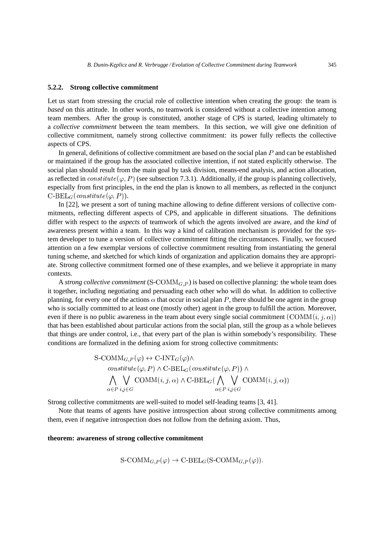### **5.2.2. Strong collective commitment**

Let us start from stressing the crucial role of collective intention when creating the group: the team is *based* on this attitude. In other words, no teamwork is considered without a collective intention among team members. After the group is constituted, another stage of CPS is started, leading ultimately to a *collective commitment* between the team members. In this section, we will give one definition of collective commitment, namely strong collective commitment: its power fully reflects the collective aspects of CPS.

In general, definitions of collective commitment are based on the social plan  $P$  and can be established or maintained if the group has the associated collective intention, if not stated explicitly otherwise. The social plan should result from the main goal by task division, means-end analysis, and action allocation, as reflected in  $constitute$  ( $\varphi$ , P) (see subsection 7.3.1). Additionally, if the group is planning collectively, especially from first principles, in the end the plan is known to all members, as reflected in the conjunct  $\operatorname{C-BEL}_G(constitute(\varphi,P)).$ 

In [22], we present a sort of tuning machine allowing to define different versions of collective commitments, reflecting different aspects of CPS, and applicable in different situations. The definitions differ with respect to the *aspects* of teamwork of which the agents involved are aware, and the *kind* of awareness present within a team. In this way a kind of calibration mechanism is provided for the system developer to tune a version of collective commitment fitting the circumstances. Finally, we focused attention on a few exemplar versions of collective commitment resulting from instantiating the general tuning scheme, and sketched for which kinds of organization and application domains they are appropriate. Strong collective commitment formed one of these examples, and we believe it appropriate in many contexts.

A *strong collective commitment*  $(S\text{-}\mathrm{COMM}_{G,P})$  is based on collective planning: the whole team does it together, including negotiating and persuading each other who will do what. In addition to collective planning, for every one of the actions  $\alpha$  that occur in social plan P, there should be one agent in the group who is socially committed to at least one (mostly other) agent in the group to fulfill the action. Moreover, even if there is no public awareness in the team about every single social commitment  $(COMM(i, j, \alpha))$ that has been established about particular actions from the social plan, still the group as a whole believes that things are under control, i.e., that every part of the plan is within somebody's responsibility. These conditions are formalized in the defining axiom for strong collective commitments:

$$
\begin{aligned}\n\text{S-COMM}_{G,P}(\varphi) &\leftrightarrow \text{C-INT}_{G}(\varphi) \wedge \\
&\text{constitute}(\varphi, P) \wedge \text{C-BEL}_{G}(\text{constitute}(\varphi, P)) \wedge \\
&\bigwedge_{\alpha \in P} \bigvee_{i,j \in G} \text{COMM}(i, j, \alpha) \wedge \text{C-BEL}_{G}(\bigwedge_{\alpha \in P} \bigvee_{i,j \in G} \text{COMM}(i, j, \alpha))\n\end{aligned}
$$

Strong collective commitments are well-suited to model self-leading teams [3, 41].

Note that teams of agents have positive introspection about strong collective commitments among them, even if negative introspection does not follow from the defining axiom. Thus,

#### **theorem: awareness of strong collective commitment**

$$
S\text{-}\text{COMM}_{G,P}(\varphi) \to \text{C-BEL}_G(S\text{-}\text{COMM}_{G,P}(\varphi)).
$$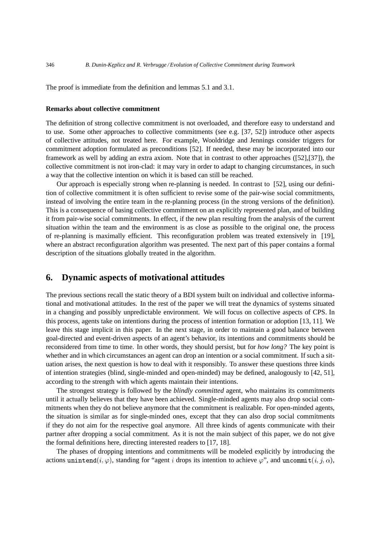The proof is immediate from the definition and lemmas 5.1 and 3.1.

#### **Remarks about collective commitment**

The definition of strong collective commitment is not overloaded, and therefore easy to understand and to use. Some other approaches to collective commitments (see e.g. [37, 52]) introduce other aspects of collective attitudes, not treated here. For example, Wooldridge and Jennings consider triggers for commitment adoption formulated as preconditions [52]. If needed, these may be incorporated into our framework as well by adding an extra axiom. Note that in contrast to other approaches ([52],[37]), the collective commitment is not iron-clad: it may vary in order to adapt to changing circumstances, in such a way that the collective intention on which it is based can still be reached.

Our approach is especially strong when re-planning is needed. In contrast to [52], using our definition of collective commitment it is often sufficient to revise some of the pair-wise social commitments, instead of involving the entire team in the re-planning process (in the strong versions of the definition). This is a consequence of basing collective commitment on an explicitly represented plan, and of building it from pair-wise social commitments. In effect, if the new plan resulting from the analysis of the current situation within the team and the environment is as close as possible to the original one, the process of re-planning is maximally efficient. This reconfiguration problem was treated extensively in [19], where an abstract reconfiguration algorithm was presented. The next part of this paper contains a formal description of the situations globally treated in the algorithm.

# **6. Dynamic aspects of motivational attitudes**

The previous sections recall the static theory of a BDI system built on individual and collective informational and motivational attitudes. In the rest of the paper we will treat the dynamics of systems situated in a changing and possibly unpredictable environment. We will focus on collective aspects of CPS. In this process, agents take on intentions during the process of intention formation or adoption [13, 11]. We leave this stage implicit in this paper. In the next stage, in order to maintain a good balance between goal-directed and event-driven aspects of an agent's behavior, its intentions and commitments should be reconsidered from time to time. In other words, they should persist, but for *how long?* The key point is whether and in which circumstances an agent can drop an intention or a social commitment. If such a situation arises, the next question is how to deal with it responsibly. To answer these questions three kinds of intention strategies (blind, single-minded and open-minded) may be defined, analogously to [42, 51], according to the strength with which agents maintain their intentions.

The strongest strategy is followed by the *blindly committed* agent, who maintains its commitments until it actually believes that they have been achieved. Single-minded agents may also drop social commitments when they do not believe anymore that the commitment is realizable. For open-minded agents, the situation is similar as for single-minded ones, except that they can also drop social commitments if they do not aim for the respective goal anymore. All three kinds of agents communicate with their partner after dropping a social commitment. As it is not the main subject of this paper, we do not give the formal definitions here, directing interested readers to [17, 18].

The phases of dropping intentions and commitments will be modeled explicitly by introducing the actions unintend $(i,\varphi)$ , standing for "agent  $i$  drops its intention to achieve  $\varphi$ ", and uncommit $(i,j,\alpha),$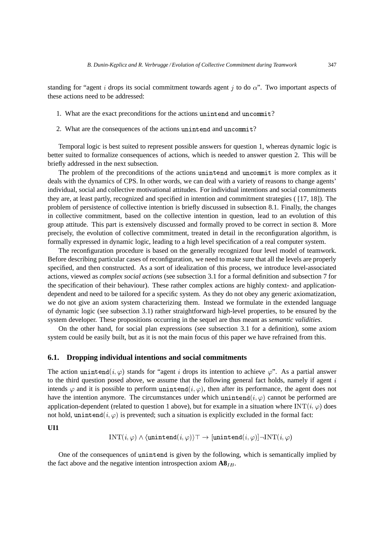standing for "agent i drops its social commitment towards agent i to do  $\alpha$ ". Two important aspects of these actions need to be addressed:

- 1. What are the exact preconditions for the actions unintend and uncommit?
- 2. What are the consequences of the actions unintend and uncommit?

Temporal logic is best suited to represent possible answers for question 1, whereas dynamic logic is better suited to formalize consequences of actions, which is needed to answer question 2. This will be briefly addressed in the next subsection.

The problem of the preconditions of the actions unintend and uncommit is more complex as it deals with the dynamics of CPS. In other words, we can deal with a variety of reasons to change agents' individual, social and collective motivational attitudes. For individual intentions and social commitments they are, at least partly, recognized and specified in intention and commitment strategies ( [17, 18]). The problem of persistence of collective intention is briefly discussed in subsection 8.1. Finally, the changes in collective commitment, based on the collective intention in question, lead to an evolution of this group attitude. This part is extensively discussed and formally proved to be correct in section 8. More precisely, the evolution of collective commitment, treated in detail in the reconfiguration algorithm, is formally expressed in dynamic logic, leading to a high level specification of a real computer system.

The reconfiguration procedure is based on the generally recognized four level model of teamwork. Before describing particular cases of reconfiguration, we need to make sure that all the levels are properly specified, and then constructed. As a sort of idealization of this process, we introduce level-associated actions, viewed as *complex social actions* (see subsection 3.1 for a formal definition and subsection 7 for the specification of their behaviour). These rather complex actions are highly context- and applicationdependent and need to be tailored for a specific system. As they do not obey any generic axiomatization, we do not give an axiom system characterizing them. Instead we formulate in the extended language of dynamic logic (see subsection 3.1) rather straightforward high-level properties, to be ensured by the system developer. These propositions occurring in the sequel are thus meant as *semantic validities*.

On the other hand, for social plan expressions (see subsection 3.1 for a definition), some axiom system could be easily built, but as it is not the main focus of this paper we have refrained from this.

#### **6.1. Dropping individual intentions and social commitments**

The action unintend $(i, \varphi)$  stands for "agent i drops its intention to achieve  $\varphi$ ". As a partial answer to the third question posed above, we assume that the following general fact holds, namely if agent  $i$ intends  $\varphi$  and it is possible to perform unintend $(i, \varphi)$ , then after its performance, the agent does not have the intention anymore. The circumstances under which unintend $(i, \varphi)$  cannot be performed are application-dependent (related to question 1 above), but for example in a situation where  $INT(i, \varphi)$  does not hold, unintend $(i, \varphi)$  is prevented; such a situation is explicitly excluded in the formal fact:

#### **UI1**

$$
\text{INT}(i,\varphi) \land \langle \texttt{unintend}(i,\varphi) \rangle \top \rightarrow [\texttt{unintend}(i,\varphi)] \neg \text{INT}(i,\varphi)
$$

One of the consequences of unintend is given by the following, which is semantically implied by the fact above and the negative intention introspection axiom  $\mathbf{A8}_{IB}$ .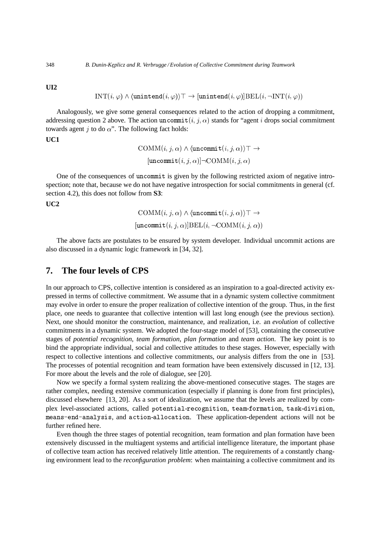**UI2**

$$
INT(i, \varphi) \land (unintend(i, \varphi)) \top \rightarrow [unintend(i, \varphi)]
$$
**BEL** $(i, \neg INT(i, \varphi))$ 

Analogously, we give some general consequences related to the action of dropping a commitment, addressing question 2 above. The action uncommit  $(i, j, \alpha)$  stands for "agent i drops social commitment towards agent  $j$  to do  $\alpha$ ". The following fact holds:

**UC1**

$$
COMM(i, j, \alpha) \land \langle \text{uncommit}(i, j, \alpha) \rangle \top \rightarrow
$$

$$
[ \text{uncommit}(i, j, \alpha) ] \neg \text{COMM}(i, j, \alpha)
$$

One of the consequences of uncommit is given by the following restricted axiom of negative introspection; note that, because we do not have negative introspection for social commitments in general (cf. section 4.2), this does not follow from **S3**:

**UC2**

$$
\text{COMM}(i, j, \alpha) \land \langle \text{uncommit}(i, j, \alpha) \rangle \top \rightarrow \newline [\text{uncommit}(i, j, \alpha)] \text{BEL}(i, \neg \text{COMM}(i, j, \alpha))
$$

The above facts are postulates to be ensured by system developer. Individual uncommit actions are also discussed in a dynamic logic framework in [34, 32].

# **7. The four levels of CPS**

In our approach to CPS, collective intention is considered as an inspiration to a goal-directed activity expressed in terms of collective commitment. We assume that in a dynamic system collective commitment may evolve in order to ensure the proper realization of collective intention of the group. Thus, in the first place, one needs to guarantee that collective intention will last long enough (see the previous section). Next, one should monitor the construction, maintenance, and realization, i.e. an *evolution* of collective commitments in a dynamic system. We adopted the four-stage model of [53], containing the consecutive stages of *potential recognition*, *team formation*, *plan formation* and *team action*. The key point is to bind the appropriate individual, social and collective attitudes to these stages. However, especially with respect to collective intentions and collective commitments, our analysis differs from the one in [53]. The processes of potential recognition and team formation have been extensively discussed in [12, 13]. For more about the levels and the role of dialogue, see [20].

Now we specify a formal system realizing the above-mentioned consecutive stages. The stages are rather complex, needing extensive communication (especially if planning is done from first principles), discussed elsewhere [13, 20]. As a sort of idealization, we assume that the levels are realized by complex level-associated actions, called potential-recognition, team-formation, task-division, means-end-analysis, and action-allocation. These application-dependent actions will not be further refined here.

Even though the three stages of potential recognition, team formation and plan formation have been extensively discussed in the multiagent systems and artificial intelligence literature, the important phase of collective team action has received relatively little attention. The requirements of a constantly changing environment lead to the *reconfiguration problem*: when maintaining a collective commitment and its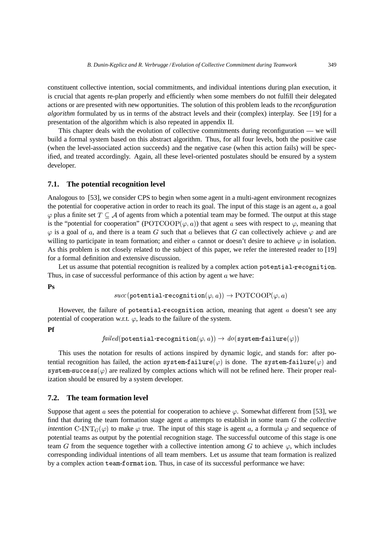constituent collective intention, social commitments, and individual intentions during plan execution, it is crucial that agents re-plan properly and efficiently when some members do not fulfill their delegated actions or are presented with new opportunities. The solution of this problem leads to the *reconfiguration algorithm* formulated by us in terms of the abstract levels and their (complex) interplay. See [19] for a presentation of the algorithm which is also repeated in appendix II.

This chapter deals with the evolution of collective commitments during reconfiguration — we will build a formal system based on this abstract algorithm. Thus, for all four levels, both the positive case (when the level-associated action succeeds) and the negative case (when this action fails) will be specified, and treated accordingly. Again, all these level-oriented postulates should be ensured by a system developer.

### **7.1. The potential recognition level**

Analogous to [53], we consider CPS to begin when some agent in a multi-agent environment recognizes the potential for cooperative action in order to reach its goal. The input of this stage is an agent  $a$ , a goal  $\varphi$  plus a finite set  $T \subseteq A$  of agents from which a potential team may be formed. The output at this stage is the "potential for cooperation" (POTCOOP $(\varphi, a)$ ) that agent a sees with respect to  $\varphi$ , meaning that  $\varphi$  is a goal of a, and there is a team G such that a believes that G can collectively achieve  $\varphi$  and are willing to participate in team formation; and either a cannot or doesn't desire to achieve  $\varphi$  in isolation. As this problem is not closely related to the subject of this paper, we refer the interested reader to [19] for a formal definition and extensive discussion.

Let us assume that potential recognition is realized by a complex action  $\tt potential-reception.$ Thus, in case of successful performance of this action by agent  $a$  we have:

**Ps**

 $succ(\texttt{potential-recognition}(\varphi, a)) \rightarrow \text{POTCOOP}(\varphi, a)$ 

However, the failure of potential-recognition action, meaning that agent  $a$  doesn't see any potential of cooperation w.r.t.  $\varphi$ , leads to the failure of the system.

**Pf**

 $\mathit{failed}(\mathtt{potential-reception}(\varphi,a)) \rightarrow \mathit{do}(\mathtt{system-failure}(\varphi))$ 

This uses the notation for results of actions inspired by dynamic logic, and stands for: after potential recognition has failed, the action system-failure $(\varphi)$  is done. The system-failure $(\varphi)$  and  $\texttt{system-success}(\varphi)$  are realized by complex actions which will not be refined here. Their proper realization should be ensured by a system developer.

### **7.2. The team formation level**

Suppose that agent a sees the potential for cooperation to achieve  $\varphi$ . Somewhat different from [53], we find that during the team formation stage agent  $\alpha$  attempts to establish in some team  $\ddot{G}$  the *collective intention* C-INT<sub>G</sub>( $\varphi$ ) to make  $\varphi$  true. The input of this stage is agent a, a formula  $\varphi$  and sequence of potential teams as output by the potential recognition stage. The successful outcome of this stage is one team G from the sequence together with a collective intention among G to achieve  $\varphi$ , which includes corresponding individual intentions of all team members. Let us assume that team formation is realized by a complex action team-formation. Thus, in case of its successful performance we have: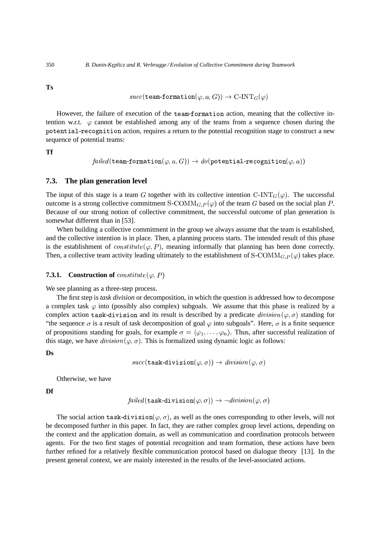**Ts**

$$
\mathit{succ}(\texttt{team-formation}(\varphi, a, G)) \to \text{C-INT}_G(\varphi)
$$

However, the failure of execution of the team-formation action, meaning that the collective intention w.r.t.  $\varphi$  cannot be established among any of the teams from a sequence chosen during the potential-recognition action, requires a return to the potential recognition stage to construct a new sequence of potential teams:

**Tf**

$$
\mathit{failed}(\texttt{team-formation}(\varphi, a, G)) \rightarrow \mathit{do}(\texttt{potential-reception}(\varphi, a))
$$

### **7.3. The plan generation level**

The input of this stage is a team G together with its collective intention  $C\text{-INT}_G(\varphi)$ . The successful outcome is a strong collective commitment S-COMM<sub>*G*,  $P(\varphi)$ </sub> of the team *G* based on the social plan *P*. Because of our strong notion of collective commitment, the successful outcome of plan generation is somewhat different than in [53].

When building a collective commitment in the group we always assume that the team is established, and the collective intention is in place. Then, a planning process starts. The intended result of this phase is the establishment of  $constitute(\varphi, P)$ , meaning informally that planning has been done correctly. Then, a collective team activity leading ultimately to the establishment of  $S\text{-}\text{COMM}_{G,P}(\varphi)$  takes place.

#### **7.3.1.** Construction of  $constitute(\varphi, P)$

We see planning as a three-step process.

The first step is *task division* or decomposition, in which the question is addressed how to decompose a complex task  $\varphi$  into (possibly also complex) subgoals. We assume that this phase is realized by a complex action task-division and its result is described by a predicate  $division(\varphi, \sigma)$  standing for "the sequence  $\sigma$  is a result of task decomposition of goal  $\varphi$  into subgoals". Here,  $\sigma$  is a finite sequence of propositions standing for goals, for example  $\sigma = \langle \varphi_1, \ldots, \varphi_n \rangle$ . Thus, after successful realization of this stage, we have  $division(\varphi, \sigma)$ . This is formalized using dynamic logic as follows:

#### **Ds**

$$
\mathit{succ}(\texttt{task-division}(\varphi, \sigma)) \rightarrow \mathit{division}(\varphi, \sigma)
$$

Otherwise, we have

**Df**

$$
\mathit{failed}(\texttt{task-division}(\varphi, \sigma)) \rightarrow \neg \mathit{division}(\varphi, \sigma)
$$

The social action task-division $(\varphi, \sigma)$ , as well as the ones corresponding to other levels, will not be decomposed further in this paper. In fact, they are rather complex group level actions, depending on the context and the application domain, as well as communication and coordination protocols between agents. For the two first stages of potential recognition and team formation, these actions have been further refined for a relatively flexible communication protocol based on dialogue theory [13]. In the present general context, we are mainly interested in the results of the level-associated actions.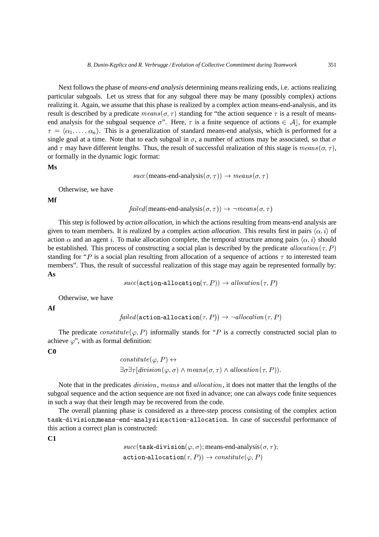Next follows the phase of *means-end analysis* determining means realizing ends, i.e. actions realizing particular subgoals. Let us stress that for any subgoal there may be many (possibly complex) actions realizing it. Again, we assume that this phase is realized by a complex action means-end-analysis, and its result is described by a predicate  $means(\sigma, \tau)$  standing for "the action sequence  $\tau$  is a result of meansend analysis for the subgoal sequence  $\sigma$ ". Here,  $\tau$  is a finite sequence of actions  $\in \mathcal{A}$ , for example  $\tau = \langle \alpha_1, \ldots, \alpha_n \rangle$ . This is a generalization of standard means-end analysis, which is performed for a single goal at a time. Note that to each subgoal in  $\sigma$ , a number of actions may be associated, so that  $\sigma$ and  $\tau$  may have different lengths. Thus, the result of successful realization of this stage is  $means(\sigma, \tau)$ , or formally in the dynamic logic format:

#### **Ms**

$$
succ(\text{means-end-analysis}(\sigma, \tau)) \rightarrow means(\sigma, \tau)
$$

Otherwise, we have

**Mf**

 $failed$  (means-end-analysis  $(\sigma, \tau)$ )  $\rightarrow \neg means(\sigma, \tau)$ 

This step is followed by *action allocation*, in which the actions resulting from means-end analysis are given to team members. It is realized by a complex action *allocation*. This results first in pairs  $\langle \alpha, i \rangle$  of action  $\alpha$  and an agent i. To make allocation complete, the temporal structure among pairs  $\langle \alpha, i \rangle$  should be established. This process of constructing a social plan is described by the predicate allocation  $(\tau, P)$ standing for "*P* is a social plan resulting from allocation of a sequence of actions  $\tau$  to interested team members". Thus, the result of successful realization of this stage may again be represented formally by: **As**

$$
\mathit{succ}(\texttt{action-allocation}(\tau, P)) \rightarrow \mathit{allocation}(\tau, P)
$$

Otherwise, we have

**Af**

$$
\mathit{failed}(\texttt{action-allocation}(\tau, P)) \rightarrow \neg \mathit{allocation}(\tau, P)
$$

The predicate  $\text{constitute}(\varphi, P)$  informally stands for "P is a correctly constructed social plan to achieve  $\varphi$ ", with as formal definition:

**C0**

constitute 
$$
(\varphi, P) \leftrightarrow
$$
  
\n $\exists \sigma \exists \tau [division(\varphi, \sigma) \land means(\sigma, \tau) \land allocation(\tau, P)).$ 

Note that in the predicates *division*, means and *allocation*, it does not matter that the lengths of the subgoal sequence and the action sequence are not fixed in advance; one can always code finite sequences in such a way that their length may be recovered from the code.

The overall planning phase is considered as a three-step process consisting of the complex action task-division;means-end-analysis;action-allocation. In case of successful performance of this action a correct plan is constructed:

**C1**

 $succ(\texttt{task-division}(\varphi, \sigma); \text{means-end-analysis}(\sigma, \tau);$  $\mathtt{action\text{-}allocation}(\tau, P)) \rightarrow \textit{constitute}\left(\varphi, P\right)$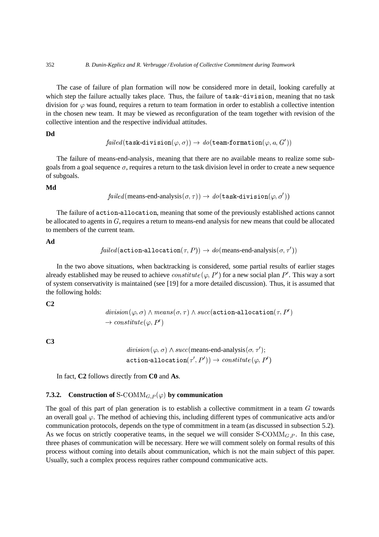The case of failure of plan formation will now be considered more in detail, looking carefully at which step the failure actually takes place. Thus, the failure of task-division, meaning that no task division for  $\varphi$  was found, requires a return to team formation in order to establish a collective intention in the chosen new team. It may be viewed as reconfiguration of the team together with revision of the collective intention and the respective individual attitudes.

**Dd**

$$
\mathit{failed}(\texttt{task-division}(\varphi, \sigma)) \rightarrow \mathit{do}(\texttt{team-formation}(\varphi, a, G'))
$$

The failure of means-end-analysis, meaning that there are no available means to realize some subgoals from a goal sequence  $\sigma$ , requires a return to the task division level in order to create a new sequence of subgoals.

### **Md**

$$
\mathit{failed}(\mathsf{means\text{-}end\text{-}analysis}(\sigma,\tau)) \rightarrow \mathit{do}(\mathtt{task\text{-}division}(\varphi,\sigma'))
$$

The failure of action-allocation, meaning that some of the previously established actions cannot be allocated to agents in  $G$ , requires a return to means-end analysis for new means that could be allocated to members of the current team.

**Ad**

$$
\mathit{failed} \left(\texttt{action-allocation}(\tau, P) \right) \rightarrow \mathit{do} \left(\text{means-end-analysis} \left(\sigma, \tau' \right) \right)
$$

In the two above situations, when backtracking is considered, some partial results of earlier stages already established may be reused to achieve  $constitute(\varphi, P')$  for a new social plan  $P'$ . This way a sort of system conservativity is maintained (see [19] for a more detailed discussion). Thus, it is assumed that the following holds:

**C2**

 $\mathit{division}(\varphi, \sigma) \land \mathit{means}(\sigma, \tau) \land \mathit{succ}(\mathtt{action\text{-} allocation}(\tau, P'))$  $\rightarrow$  constitute( $\varphi$ , P')

**C3**

```
division(\varphi, \sigma) \wedge succ(\text{means-end-analysis}(\sigma, \tau');\mathtt{action\text{-}allocation}(\tau',P')) \rightarrow \textit{constitute}\left(\varphi,P'\right)
```
In fact, **C2** follows directly from **C0** and **As**.

### **7.3.2.** Construction of S-COMM<sub>G,  $P(\varphi)$  by communication</sub>

The goal of this part of plan generation is to establish a collective commitment in a team  $\tilde{G}$  towards an overall goal  $\varphi$ . The method of achieving this, including different types of communicative acts and/or communication protocols, depends on the type of commitment in a team (as discussed in subsection 5.2). As we focus on strictly cooperative teams, in the sequel we will consider  $S-COMM_{G,P}$ . In this case, three phases of communication will be necessary. Here we will comment solely on formal results of this process without coming into details about communication, which is not the main subject of this paper. Usually, such a complex process requires rather compound communicative acts.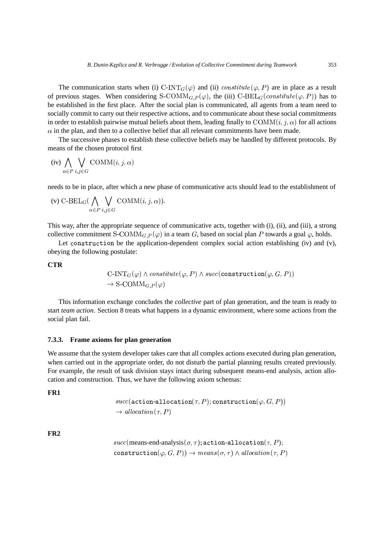The communication starts when (i) C-INT<sub>G</sub>( $\varphi$ ) and (ii) *constitute*( $\varphi$ , P) are in place as a result of previous stages. When considering S-COMM<sub>G,P</sub>( $\varphi$ ), the (iii) C-BEL<sub>G</sub>(constitute( $\varphi$ ,P)) has to be established in the first place. After the social plan is communicated, all agents from a team need to socially commit to carry out their respective actions, and to communicate about these social commitments in order to establish pairwise mutual beliefs about them, leading finally to  $\text{COMM}(i, j, \alpha)$  for all actions  $\alpha$  in the plan, and then to a collective belief that all relevant commitments have been made.

The successive phases to establish these collective beliefs may be handled by different protocols. By means of the chosen protocol first

$$
(iv) \bigwedge_{\alpha \in P} \bigvee_{i,j \in G} \text{COMM}(i,j,\alpha)
$$

needs to be in place, after which a new phase of communicative acts should lead to the establishment of

(v) C-BEL<sub>G</sub>(
$$
\bigwedge_{\alpha \in P} \bigvee_{i,j \in G}
$$
COMM(*i*, *j*,  $\alpha$ )).

This way, after the appropriate sequence of communicative acts, together with (i), (ii), and (iii), a strong collective commitment S-COMM<sub>G, P</sub>( $\varphi$ ) in a team G, based on social plan P towards a goal  $\varphi$ , holds.

Let construction be the application-dependent complex social action establishing (iv) and (v), obeying the following postulate:

#### **CTR**

$$
\text{C-INT}_G(\varphi) \land \text{constitute}(\varphi, P) \land \text{succ}(\text{construction}(\varphi, G, P))
$$
  

$$
\rightarrow \text{S-COMM}_{G, P}(\varphi)
$$

This information exchange concludes the *collective* part of plan generation, and the team is ready to start *team action*. Section 8 treats what happens in a dynamic environment, where some actions from the social plan fail.

#### **7.3.3. Frame axioms for plan generation**

We assume that the system developer takes care that all complex actions executed during plan generation, when carried out in the appropriate order, do not disturb the partial planning results created previously. For example, the result of task division stays intact during subsequent means-end analysis, action allocation and construction. Thus, we have the following axiom schemas:

**FR1**

$$
\mathit{succ}(\texttt{action-allocation}(\tau, P); \texttt{construction}(\varphi, G, P)) \\ \rightarrow \mathit{allocation}(\tau, P)
$$

**FR2**

$$
succ(\text{means-end-analysis}(\sigma, \tau); \text{action-allocation}(\tau, P); \\ \text{construction}(\varphi, G, P)) \rightarrow means(\sigma, \tau) \land allocation(\tau, P)
$$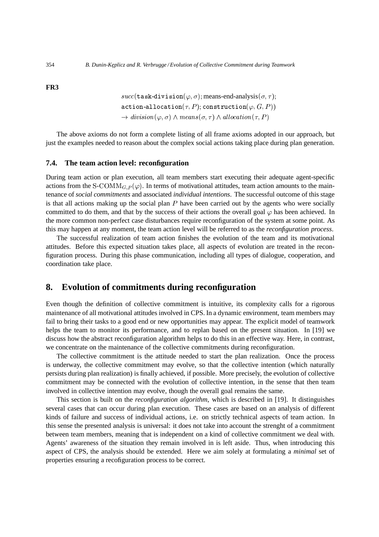**FR3**

 $succ(\texttt{task-division}(\varphi, \sigma); \text{means-end-analysis}(\sigma, \tau);$  $\mathtt{action\text{-}allocation}(\tau, P) ; \mathtt{construction}(\varphi, G, P))$  $\rightarrow$  division( $\varphi, \sigma$ )  $\wedge$  means( $\sigma, \tau$ )  $\wedge$  allocation( $\tau, P$ )

The above axioms do not form a complete listing of all frame axioms adopted in our approach, but just the examples needed to reason about the complex social actions taking place during plan generation.

### **7.4. The team action level: reconfiguration**

During team action or plan execution, all team members start executing their adequate agent-specific actions from the S-COMM<sub>G,P</sub> $(\varphi)$ . In terms of motivational attitudes, team action amounts to the maintenance of *social commitments* and associated *individual intentions*. The successful outcome of this stage is that all actions making up the social plan  $P$  have been carried out by the agents who were socially committed to do them, and that by the success of their actions the overall goal  $\varphi$  has been achieved. In the more common non-perfect case disturbances require reconfiguration of the system at some point. As this may happen at any moment, the team action level will be referred to as the *reconfiguration process*.

The successful realization of team action finishes the evolution of the team and its motivational attitudes. Before this expected situation takes place, all aspects of evolution are treated in the reconfiguration process. During this phase communication, including all types of dialogue, cooperation, and coordination take place.

# **8. Evolution of commitments during reconfiguration**

Even though the definition of collective commitment is intuitive, its complexity calls for a rigorous maintenance of all motivational attitudes involved in CPS. In a dynamic environment, team members may fail to bring their tasks to a good end or new opportunities may appear. The explicit model of teamwork helps the team to monitor its performance, and to replan based on the present situation. In [19] we discuss how the abstract reconfiguration algorithm helps to do this in an effective way. Here, in contrast, we concentrate on the maintenance of the collective commitments during reconfiguration.

The collective commitment is the attitude needed to start the plan realization. Once the process is underway, the collective commitment may evolve, so that the collective intention (which naturally persists during plan realization) is finally achieved, if possible. More precisely, the evolution of collective commitment may be connected with the evolution of collective intention, in the sense that then team involved in collective intention may evolve, though the overall goal remains the same.

This section is built on the *reconfiguration algorithm*, which is described in [19]. It distinguishes several cases that can occur during plan execution. These cases are based on an analysis of different kinds of failure and success of individual actions, i.e. on strictly technical aspects of team action. In this sense the presented analysis is universal: it does not take into account the strenght of a commitment between team members, meaning that is independent on a kind of collective commitment we deal with. Agents' awareness of the situation they remain involved in is left aside. Thus, when introducing this aspect of CPS, the analysis should be extended. Here we aim solely at formulating a *minimal* set of properties ensuring a recofiguration process to be correct.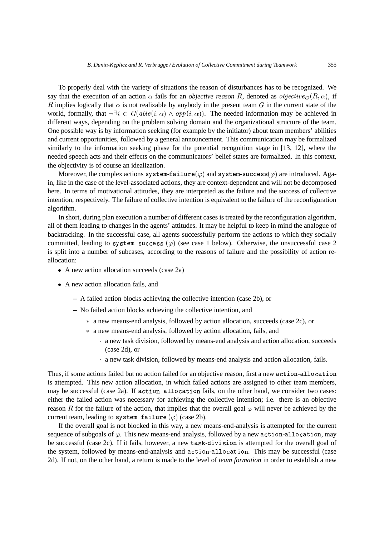To properly deal with the variety of situations the reason of disturbances has to be recognized. We say that the execution of an action  $\alpha$  fails for an *objective reason R*, denoted as *objective*<sub>*G*</sub>( $R, \alpha$ ), if R implies logically that  $\alpha$  is not realizable by anybody in the present team G in the current state of the world, formally, that  $\neg \exists i \in G(able(i, \alpha) \land opp(i, \alpha))$ . The needed information may be achieved in different ways, depending on the problem solving domain and the organizational structure of the team. One possible way is by information seeking (for example by the initiator) about team members' abilities and current opportunities, followed by a general announcement. This communication may be formalized similarly to the information seeking phase for the potential recognition stage in [13, 12], where the needed speech acts and their effects on the communicators' belief states are formalized. In this context, the objectivity is of course an idealization.

Moreover, the complex actions  $\texttt{system-failure}(\varphi)$  and  $\texttt{system-success}(\varphi)$  are introduced. Again, like in the case of the level-associated actions, they are context-dependent and will not be decomposed here. In terms of motivational attitudes, they are interpreted as the failure and the success of collective intention, respectively. The failure of collective intention is equivalent to the failure of the reconfiguration algorithm.

In short, during plan execution a number of different cases is treated by the reconfiguration algorithm, all of them leading to changes in the agents' attitudes. It may be helpful to keep in mind the analogue of backtracking. In the successful case, all agents successfully perform the actions to which they socially committed, leading to system-success  $(\varphi)$  (see case 1 below). Otherwise, the unsuccessful case 2 is split into a number of subcases, according to the reasons of failure and the possibility of action reallocation:

- A new action allocation succeeds (case 2a)
- A new action allocation fails, and
	- **–** A failed action blocks achieving the collective intention (case 2b), or
	- **–** No failed action blocks achieving the collective intention, and
		- a new means-end analysis, followed by action allocation, succeeds (case 2c), or
		- a new means-end analysis, followed by action allocation, fails, and
			- a new task division, followed by means-end analysis and action allocation, succeeds (case 2d), or
			- a new task division, followed by means-end analysis and action allocation, fails.

Thus, if some actions failed but no action failed for an objective reason, first a new  $\verb|action-allocation|$ is attempted. This new action allocation, in which failed actions are assigned to other team members, may be successful (case 2a). If action-allocation fails, on the other hand, we consider two cases: either the failed action was necessary for achieving the collective intention; i.e. there is an objective reason R for the failure of the action, that implies that the overall goal  $\varphi$  will never be achieved by the current team, leading to system-failure  $(\varphi)$  (case 2b).

If the overall goal is not blocked in this way, a new means-end-analysis is attempted for the current sequence of subgoals of  $\varphi$ . This new means-end analysis, followed by a new action-allocation, may be successful (case 2c). If it fails, however, a new task-division is attempted for the overall goal of the system, followed by means-end-analysis and action-allocation. This may be successful (case 2d). If not, on the other hand, a return is made to the level of *team formation* in order to establish a new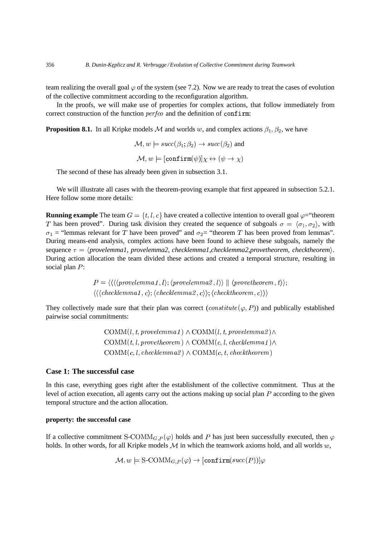team realizing the overall goal  $\varphi$  of the system (see 7.2). Now we are ready to treat the cases of evolution of the collective commitment according to the reconfiguration algorithm.

In the proofs, we will make use of properties for complex actions, that follow immediately from correct construction of the function  $perf co$  and the definition of confirm:

**Proposition 8.1.** In all Kripke models M and worlds w, and complex actions  $\beta_1, \beta_2$ , we have

$$
\mathcal{M}, w \models succ(\beta_1; \beta_2) \to succ(\beta_2) \text{ and}
$$

$$
\mathcal{M}, w \models [confirm(\psi)]\chi \leftrightarrow (\psi \to \chi)
$$

The second of these has already been given in subsection 3.1.

We will illustrate all cases with the theorem-proving example that first appeared in subsection 5.2.1. Here follow some more details:

**Running example** The team  $G = \{t, l, c\}$  have created a collective intention to overall goal  $\varphi$ = "theorem T has been proved". During task division they created the sequence of subgoals  $\sigma = \langle \sigma_1, \sigma_2 \rangle$ , with  $\sigma_1$  = "lemmas relevant for T have been proved" and  $\sigma_2$  = "theorem T has been proved from lemmas". During means-end analysis, complex actions have been found to achieve these subgoals, namely the sequence  $\tau = \langle provenemmal, provenemma2, checklemma1, checklemma2, prove theorem, checktheorem \rangle.$ During action allocation the team divided these actions and created a temporal structure, resulting in social plan  $P$ :

$$
P = \langle \langle \langle \langle provenemma1 \, , l \rangle; \langle provelemma2 \, , l \rangle \rangle \parallel \langle provetheorem \, , t \rangle \rangle;
$$
  

$$
\langle \langle \langle checklemma1 \, , c \rangle; \langle checklemma2 \, , c \rangle \rangle; \langle checktheorem \, , c \rangle \rangle \rangle
$$

They collectively made sure that their plan was correct  $(constitute(\varphi, P))$  and publically established pairwise social commitments:

> $\text{COMM}(l, t, \textit{provelemma1}) \wedge \text{COMM}(l, t, \textit{provelemma2}) \wedge$  $\mathop{\rm COMM}(t, l, prove theorem) \wedge \mathop{\rm COMM}(c, l, check lemma 1) \wedge$  $\mathrm{COMM}(c, l, \mathit{checklemma2}) \wedge \mathrm{COMM}(c, t, \mathit{checkheorem})$

### **Case 1: The successful case**

In this case, everything goes right after the establishment of the collective commitment. Thus at the level of action execution, all agents carry out the actions making up social plan  $P$  according to the given temporal structure and the action allocation.

### **property: the successful case**

If a collective commitment S-COM $M_{G,P}(\varphi)$  holds and P has just been successfully executed, then  $\varphi$ holds. In other words, for all Kripke models  $M$  in which the teamwork axioms hold, and all worlds  $w$ ,

$$
\mathcal{M}, w \models \text{S-COMM}_{G, P}(\varphi) \rightarrow [\text{confirm}(succ(P))] \varphi
$$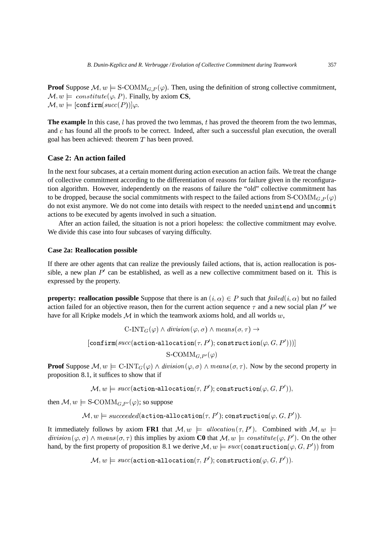**Proof** Suppose  $\mathcal{M}, w \models S\text{-COMM}_{G,P}(\varphi)$ . Then, using the definition of strong collective commitment,  $\mathcal{M}, w \models \text{constitute}(\varphi, P)$ . Finally, by axiom **CS**,  $\mathcal{M},w\models [\texttt{confirm}(succ(P))]\varphi.$ 

The example In this case,  $l$  has proved the two lemmas,  $t$  has proved the theorem from the two lemmas, and  $c$  has found all the proofs to be correct. Indeed, after such a successful plan execution, the overall goal has been achieved: theorem  $T$  has been proved.

### **Case 2: An action failed**

In the next four subcases, at a certain moment during action execution an action fails. We treat the change of collective commitment according to the differentiation of reasons for failure given in the reconfiguration algorithm. However, independently on the reasons of failure the "old" collective commitment has to be dropped, because the social commitments with respect to the failed actions from  $S\text{-}\text{COMM}_{G,P}(\varphi)$ do not exist anymore. We do not come into details with respect to the needed unintend and uncommit actions to be executed by agents involved in such a situation.

After an action failed, the situation is not a priori hopeless: the collective commitment may evolve. We divide this case into four subcases of varying difficulty.

### **Case 2a: Reallocation possible**

If there are other agents that can realize the previously failed actions, that is, action reallocation is possible, a new plan  $P'$  can be established, as well as a new collective commitment based on it. This is expressed by the property.

**property: reallocation possible** Suppose that there is an  $(i, \alpha) \in P$  such that  $\text{failed}(i, \alpha)$  but no failed action failed for an objective reason, then for the current action sequence  $\tau$  and a new social plan  $P'$  we have for all Kripke models  $M$  in which the teamwork axioms hold, and all worlds  $w$ ,

$$
\text{C-INT}_G(\varphi) \land \text{division}(\varphi, \sigma) \land \text{means}(\sigma, \tau) \rightarrow
$$
\n[
$$
[confirm(\text{succ}(action\text{-} allocation\text{-}allocation(\tau, P'); \text{construction}(\varphi, G, P')))]
$$
\n
$$
\text{S-COMM}_{G, P'}(\varphi)
$$

**Proof** Suppose  $M, w \models C\text{-INT}_{G}(\varphi) \land \text{division}(\varphi, \sigma) \land \text{means}(\sigma, \tau)$ . Now by the second property in proposition 8.1, it suffices to show that if

 $\mathcal{M},w\models succ(\texttt{action-allocation}(\tau,P');\texttt{construction}(\varphi,G,P')),$ 

then  $\mathcal{M}, w \models$  S-COMM<sub>*G,P'*</sub>( $\varphi$ ); so suppose

 $\mathcal{M},w\models succeeded(\texttt{action-allocation}(\tau,P');\texttt{construction}(\varphi,G,P')).$ 

It immediately follows by axiom FR1 that  $\mathcal{M}, w \models$  allocation  $(\tau, P')$ . Combined with  $\mathcal{M}, w \models$  $division(\varphi, \sigma) \wedge means(\sigma, \tau)$  this implies by axiom **C0** that  $\mathcal{M}, w \models constitute(\varphi, P')$ . On the other hand, by the first property of proposition 8.1 we derive  $\mathcal{M},w\models succ(\texttt{construction}(\varphi,G,P'))$  from

 $\mathcal{M},w\models succ(\texttt{action-allocation}(\tau,P');\texttt{construction}(\varphi,G,P')).$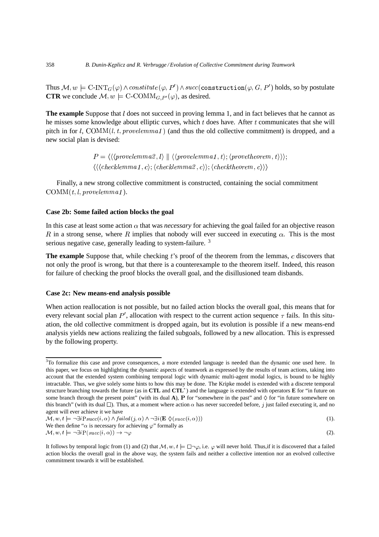Thus  $\mathcal{M},w\models\text{C-INT}_G(\varphi)\land constitute\, (\varphi,P')\land succ(\text{\tt{construction}}(\varphi,G,P')\text{ holds, so by postulate})$ **CTR** we conclude  $\mathcal{M}, w \models C\text{-COMM}_{G, P}(\varphi)$ , as desired.

**The example** Suppose that *l* does not succeed in proving lemma 1, and in fact believes that he cannot as he misses some knowledge about elliptic curves, which  $t$  does have. After  $t$  communicates that she will pitch in for l, COMM(l, t, provelemmal) (and thus the old collective commitment) is dropped, and a new social plan is devised:

> $P = \langle \langle \langle \mathit{provelemma2}, l \rangle \mid \mid \langle \langle \mathit{provelemma1}, t \rangle; \langle \mathit{provetheorem}, t \rangle \rangle \rangle;$  $\left\langle \left\langle \left\langle \mathit{checklemma1},c\right\rangle \right\rangle \left\langle \mathit{checklemma2},c\right\rangle \right\rangle ;\left\langle \mathit{check theorem},c\right\rangle \right\rangle \right\rangle$

Finally, a new strong collective commitment is constructed, containing the social commitment  $\text{COMM}(t, l, \text{provelemma1}).$ 

### **Case 2b: Some failed action blocks the goal**

In this case at least some action  $\alpha$  that was *necessary* for achieving the goal failed for an objective reason R in a strong sense, where R implies that nobody will ever succeed in executing  $\alpha$ . This is the most serious negative case, generally leading to system-failure.<sup>3</sup>

**The example** Suppose that, while checking t's proof of the theorem from the lemmas, c discovers that not only the proof is wrong, but that there is a counterexample to the theorem itself. Indeed, this reason for failure of checking the proof blocks the overall goal, and the disillusioned team disbands.

#### **Case 2c: New means-end analysis possible**

When action reallocation is not possible, but no failed action blocks the overall goal, this means that for every relevant social plan  $P'$ , allocation with respect to the current action sequence  $\tau$  fails. In this situation, the old collective commitment is dropped again, but its evolution is possible if a new means-end analysis yields new actions realizing the failed subgoals, followed by a new allocation. This is expressed by the following property.

```
\alpha, w, t \models \neg \exists i P(\mathit{succ}(i, \alpha)) \rightarrow \neg \varphi
```
<sup>&</sup>lt;sup>3</sup>To formalize this case and prove consequences, a more extended language is needed than the dynamic one used here. In this paper, we focus on highlighting the dynamic aspects of teamwork as expressed by the results of team actions, taking into account that the extended system combining temporal logic with dynamic multi-agent modal logics, is bound to be highly intractable. Thus, we give solely some hints to how this may be done. The Kripke model is extended with a discrete temporal structure branching towards the future (as in **CTL** and **CTL** ) and the language is extended with operators **E** for "in future on some branch through the present point" (with its dual A),  $P$  for "somewhere in the past" and  $\Diamond$  for "in future somewhere on this branch" (with its dual  $\square$ ). Thus, at a moment where action  $\alpha$  has never succeeded before, j just failed executing it, and no agent will ever achieve it we have

 $\mathcal{M}, w, t \models \neg \exists i \text{P} succ(i, \alpha) \land \text{failed}(j, \alpha) \land \neg \exists i(\mathbf{E} \Diamond (succ(i, \alpha)))$  $\alpha$ ))) (1).

We then define " $\alpha$  is necessary for achieving  $\varphi$ " formally as

 $\varphi$  (2).

It follows by temporal logic from (1) and (2) that  $M, w, t \models \Box \neg \varphi$ , i.e.  $\varphi$  will never hold. Thus, if it is discovered that a failed action blocks the overall goal in the above way, the system fails and neither a collective intention nor an evolved collective commitment towards it will be established.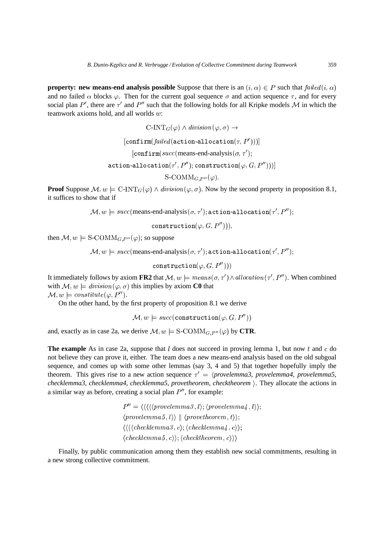**property: new means-end analysis possible** Suppose that there is an  $(i, \alpha) \in P$  such that  $\text{failed}(i, \alpha)$ and no failed  $\alpha$  blocks  $\varphi$ . Then for the current goal sequence  $\sigma$  and action sequence  $\tau$ , and for every social plan P', there are  $\tau'$  and P'' such that the following holds for all Kripke models M in which the teamwork axioms hold, and all worlds  $w$ :

$$
\text{C-INT}_G(\varphi) \land \text{division}(\varphi, \sigma) \rightarrow
$$
\n
$$
[\text{confirm}(\text{failed}(\text{action-allocation}(\tau, P')))]
$$
\n
$$
[\text{confirm}(\text{succ}(\text{means-end-analysis}(\sigma, \tau');
$$
\n
$$
\text{action-allocation}(\tau', P''); \text{construction}(\varphi, G, P'')))]
$$
\n
$$
\text{S-COMM}_{G,P''}(\varphi).
$$

**Proof** Suppose  $M, w \models C\text{-INT}_{G}(\varphi) \land division(\varphi, \sigma)$ . Now by the second property in proposition 8.1, it suffices to show that if

 $\mathcal{M},w\models succ(\text{means-end-analysis}(\sigma,\tau');\texttt{action-allocation}(\tau',P'');$ 

 $\texttt{construction}(\varphi, G, P''))),$ 

then  $\mathcal{M}, w \models$  S-COMM<sub>*G*,  $P^{\prime\prime}(\varphi)$ ; so suppose</sub>

 $\mathcal{M},w\models succ(\text{means-end-analysis}(\sigma,\tau');\texttt{action-allocation}(\tau',P'');$ 

 $\mathtt{construction}(\varphi, G, P''))$ 

It immediately follows by axiom **FR2** that  $\mathcal{M}, w \models means(\sigma, \tau') \land allocation(\tau', P'')$ . When combined with  $\mathcal{M}, w \models \text{division}(\varphi, \sigma)$  this implies by axiom **C0** that  $\mathcal{M}, w \models \textit{constitute}(\varphi, P'').$ 

On the other hand, by the first property of proposition 8.1 we derive

$$
\mathcal{M},w\models succ(\mathsf{construction}(\varphi,G,P''))
$$

and, exactly as in case 2a, we derive  $\mathcal{M}, w \models S\text{-}\text{COMM}_{G,P''}(\varphi)$  by **CTR**.

**The example** As in case 2a, suppose that  $l$  does not succeed in proving lemma 1, but now  $t$  and  $c$  do not believe they can prove it, either. The team does a new means-end analysis based on the old subgoal sequence, and comes up with some other lemmas (say 3, 4 and 5) that together hopefully imply the theorem. This gives rise to a new action sequence  $\tau' = \langle provelemma 3, provelemma 4, provelemma 5,$ *checklemma3*, *checklemma4*, *checklemma5*, *provetheorem*, *checktheorem* . They allocate the actions in a similar way as before, creating a social plan  $P''$ , for example:

$$
P'' = \langle \langle \langle \langle \text{provelemma3}, l \rangle; \langle \text{provelemma4}, l \rangle \rangle; \langle \text{provelemma5}, l \rangle \rangle \parallel \langle \text{provethenma4}, t \rangle \rangle; \langle \langle \langle \langle \text{checklemma3}, c \rangle; \langle \text{checklemma4}, c \rangle \rangle; \langle \text{checklemma5}, c \rangle \rangle; \langle \text{checkheorem}, c \rangle \rangle \rangle
$$

Finally, by public communication among them they establish new social commitments, resulting in a new strong collective commitment.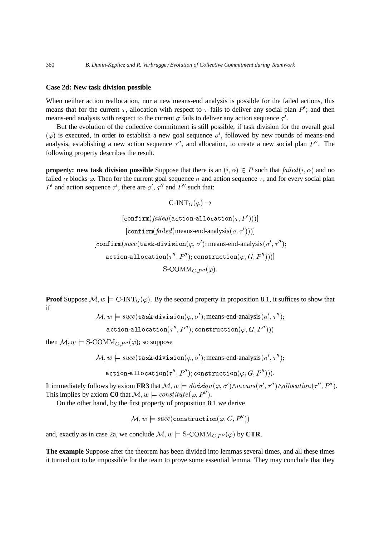### **Case 2d: New task division possible**

When neither action reallocation, nor a new means-end analysis is possible for the failed actions, this means that for the current  $\tau$ , allocation with respect to  $\tau$  fails to deliver any social plan P'; and then means-end analysis with respect to the current  $\sigma$  fails to deliver any action sequence  $\tau'$ .

But the evolution of the collective commitment is still possible, if task division for the overall goal  $(\varphi)$  is executed, in order to establish a new goal sequence  $\sigma'$ , followed by new rounds of means-end analysis, establishing a new action sequence  $\tau''$ , and allocation, to create a new social plan  $P''$ . The following property describes the result.

**property: new task division possible** Suppose that there is an  $(i, \alpha) \in P$  such that  ${failed}(i, \alpha)$  and no failed  $\alpha$  blocks  $\varphi$ . Then for the current goal sequence  $\sigma$  and action sequence  $\tau$ , and for every social plan ' and action sequence  $\tau'$ , there are  $\sigma'$ ,  $\tau''$  and  $P''$  such that:

```
\text{C-INT}_G(\varphi) \rightarrow[\texttt{confirm}(\mathit{failed}(\texttt{action-allocation}(\tau, P')))]\left[confirm(failed (means-end-analysis(\sigma, \tau'))\right)][\texttt{confirm}(succ(\texttt{task-division}(\varphi, \sigma'); \text{means-end-analysis}(\sigma', \tau'');\mathtt{action\text{-}allocation}(\tau'',P''); \mathtt{construction}(\varphi,G,P'')))]\mathrm{S}\text{-}\mathrm{COMM}_{G,P^{\prime\prime}}(\varphi).
```
**Proof** Suppose  $M, w \models C\text{-INT}_G(\varphi)$ . By the second property in proposition 8.1, it suffices to show that if

 $\mathcal{M},w\models succ(\texttt{task-division}(\varphi,\sigma');\text{means-end-analysis}(\sigma',\tau'');$ 

 $\mathtt{action\text{-}allocation}(\tau'',P''); \mathtt{construction}(\varphi,G,P''))$ 

then  $\mathcal{M}, w \models \text{S-COMM}_{G, P''}(\varphi)$ ; so suppose

 $\mathcal{M},w\models succ(\texttt{task-division}(\varphi,\sigma');\text{means-end-analysis}(\sigma',\tau'');$ 

 $\mathtt{action\text{-}allocation}(\tau'',P''); \mathtt{construction}(\varphi,G,P''))).$ 

It immediately follows by axiom FR3 that  $\mathcal{M}, w \models \mathit{division}(\varphi, \sigma') \land \mathit{means}(\sigma', \tau'') \land \mathit{allocation}(\tau'', P'').$ This implies by axiom **C0** that  $\mathcal{M}, w \models \text{constitute } (\varphi, P'').$ 

On the other hand, by the first property of proposition 8.1 we derive

 $\mathcal{M},w\models succ(\texttt{construction}(\varphi,G,P''))$ 

and, exactly as in case 2a, we conclude  $\mathcal{M}, w \models$  S-COMM<sub>*G*, P<sup>11</sup></sub>( $\varphi$ ) by **CTR**.

**The example** Suppose after the theorem has been divided into lemmas several times, and all these times it turned out to be impossible for the team to prove some essential lemma. They may conclude that they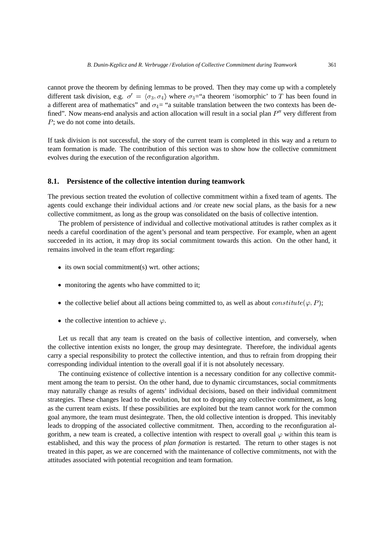cannot prove the theorem by defining lemmas to be proved. Then they may come up with a completely different task division, e.g.  $\sigma' = \langle \sigma_3, \sigma_4 \rangle$  where  $\sigma_3 =$ "a theorem 'isomorphic' to T has been found in a different area of mathematics" and  $\sigma_4$  = "a suitable translation between the two contexts has been defined". Now means-end analysis and action allocation will result in a social plan  $P''$  very different from  $P$ ; we do not come into details.

If task division is not successful, the story of the current team is completed in this way and a return to team formation is made. The contribution of this section was to show how the collective commitment evolves during the execution of the reconfiguration algorithm.

#### **8.1. Persistence of the collective intention during teamwork**

The previous section treated the evolution of collective commitment within a fixed team of agents. The agents could exchange their individual actions and /or create new social plans, as the basis for a new collective commitment, as long as the group was consolidated on the basis of collective intention.

The problem of persistence of individual and collective motivational attitudes is rather complex as it needs a careful coordination of the agent's personal and team perspective. For example, when an agent succeeded in its action, it may drop its social commitment towards this action. On the other hand, it remains involved in the team effort regarding:

- $\bullet$  its own social commitment(s) wrt. other actions;
- monitoring the agents who have committed to it;
- the collective belief about all actions being committed to, as well as about  $constitute(\varphi, P)$ ;
- the collective intention to achieve  $\varphi$ .

Let us recall that any team is created on the basis of collective intention, and conversely, when the collective intention exists no longer, the group may desintegrate. Therefore, the individual agents carry a special responsibility to protect the collective intention, and thus to refrain from dropping their corresponding individual intention to the overall goal if it is not absolutely necessary.

The continuing existence of collective intention is a necessary condition for any collective commitment among the team to persist. On the other hand, due to dynamic circumstances, social commitments may naturally change as results of agents' individual decisions, based on their individual commitment strategies. These changes lead to the evolution, but not to dropping any collective commitment, as long as the current team exists. If these possibilities are exploited but the team cannot work for the common goal anymore, the team must desintegrate. Then, the old collective intention is dropped. This inevitably leads to dropping of the associated collective commitment. Then, according to the reconfiguration algorithm, a new team is created, a collective intention with respect to overall goal  $\varphi$  within this team is established, and this way the process of *plan formation* is restarted. The return to other stages is not treated in this paper, as we are concerned with the maintenance of collective commitments, not with the attitudes associated with potential recognition and team formation.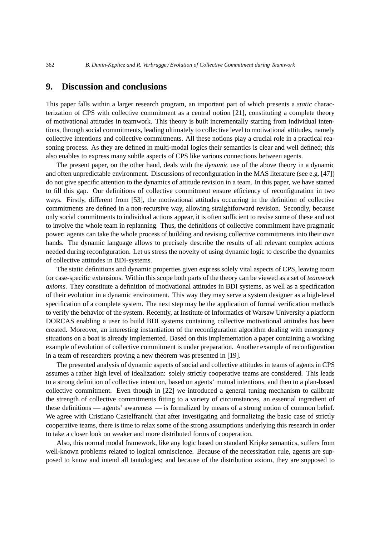# **9. Discussion and conclusions**

This paper falls within a larger research program, an important part of which presents a *static* characterization of CPS with collective commitment as a central notion [21], constituting a complete theory of motivational attitudes in teamwork. This theory is built incrementally starting from individual intentions, through social commitments, leading ultimately to collective level to motivational attitudes, namely collective intentions and collective commitments. All these notions play a crucial role in a practical reasoning process. As they are defined in multi-modal logics their semantics is clear and well defined; this also enables to express many subtle aspects of CPS like various connections between agents.

The present paper, on the other hand, deals with the *dynamic* use of the above theory in a dynamic and often unpredictable environment. Discussions of reconfiguration in the MAS literature (see e.g. [47]) do not give specific attention to the dynamics of attitude revision in a team. In this paper, we have started to fill this gap. Our definitions of collective commitment ensure efficiency of reconfiguration in two ways. Firstly, different from [53], the motivational attitudes occurring in the definition of collective commitments are defined in a non-recursive way, allowing straightforward revision. Secondly, because only social commitments to individual actions appear, it is often sufficient to revise some of these and not to involve the whole team in replanning. Thus, the definitions of collective commitment have pragmatic power: agents can take the whole process of building and revising collective commitments into their own hands. The dynamic language allows to precisely describe the results of all relevant complex actions needed during reconfiguration. Let us stress the novelty of using dynamic logic to describe the dynamics of collective attitudes in BDI-systems.

The static definitions and dynamic properties given express solely vital aspects of CPS, leaving room for case-specific extensions. Within this scope both parts of the theory can be viewed as a set of *teamwork axioms*. They constitute a definition of motivational attitudes in BDI systems, as well as a specification of their evolution in a dynamic environment. This way they may serve a system designer as a high-level specification of a complete system. The next step may be the application of formal verification methods to verify the behavior of the system. Recently, at Institute of Informatics of Warsaw University a platform DORCAS enabling a user to build BDI systems containing collective motivational attitudes has been created. Moreover, an interesting instantiation of the reconfiguration algorithm dealing with emergency situations on a boat is already implemented. Based on this implementation a paper containing a working example of evolution of collective commitment is under preparation. Another example of reconfiguration in a team of researchers proving a new theorem was presented in [19].

The presented analysis of dynamic aspects of social and collective attitudes in teams of agents in CPS assumes a rather high level of idealization: solely strictly cooperative teams are considered. This leads to a strong definition of collective intention, based on agents' mutual intentions, and then to a plan-based collective commitment. Even though in [22] we introduced a general tuning mechanism to calibrate the strength of collective commitments fitting to a variety of circumstances, an essential ingredient of these definitions — agents' awareness — is formalized by means of a strong notion of common belief. We agree with Cristiano Castelfranchi that after investigating and formalizing the basic case of strictly cooperative teams, there is time to relax some of the strong assumptions underlying this research in order to take a closer look on weaker and more distributed forms of cooperation.

Also, this normal modal framework, like any logic based on standard Kripke semantics, suffers from well-known problems related to logical omniscience. Because of the necessitation rule, agents are supposed to know and intend all tautologies; and because of the distribution axiom, they are supposed to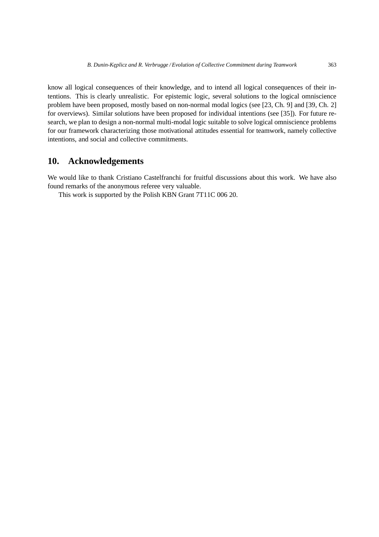know all logical consequences of their knowledge, and to intend all logical consequences of their intentions. This is clearly unrealistic. For epistemic logic, several solutions to the logical omniscience problem have been proposed, mostly based on non-normal modal logics (see [23, Ch. 9] and [39, Ch. 2] for overviews). Similar solutions have been proposed for individual intentions (see [35]). For future research, we plan to design a non-normal multi-modal logic suitable to solve logical omniscience problems for our framework characterizing those motivational attitudes essential for teamwork, namely collective intentions, and social and collective commitments.

# **10. Acknowledgements**

We would like to thank Cristiano Castelfranchi for fruitful discussions about this work. We have also found remarks of the anonymous referee very valuable.

This work is supported by the Polish KBN Grant 7T11C 006 20.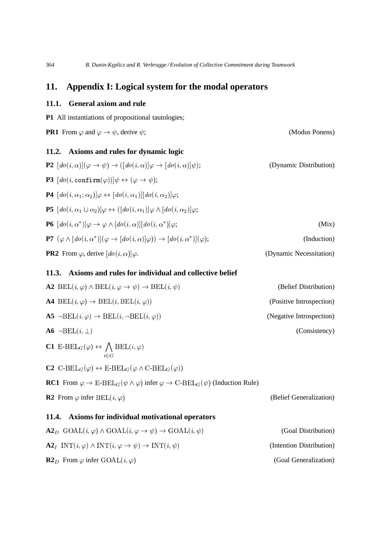# **11. Appendix I: Logical system for the modal operators**

# **11.1. General axiom and rule**

**P1** All instantiations of propositional tautologies;

**PR1** From  $\varphi$  and  $\varphi \to \psi$ , derive  $\psi$ ; (Modus Ponens)

(Belief Generalization)

# **11.2. Axioms and rules for dynamic logic**

| <b>P2</b> $[do(i, \alpha)](\varphi \rightarrow \psi) \rightarrow ([do(i, \alpha)]\varphi \rightarrow [do(i, \alpha)]\psi);$        | (Dynamic Distribution)  |
|------------------------------------------------------------------------------------------------------------------------------------|-------------------------|
| <b>P3</b> $[do(i, \text{confirm}(\varphi))] \psi \leftrightarrow (\varphi \rightarrow \psi);$                                      |                         |
| <b>P4</b> $[do(i, \alpha_1; \alpha_2)]\varphi \leftrightarrow [do(i, \alpha_1)][do(i, \alpha_2)]\varphi;$                          |                         |
| <b>P5</b> $[do(i, \alpha_1 \cup \alpha_2)]\varphi \leftrightarrow ([do(i, \alpha_1)]\varphi \wedge [do(i, \alpha_2)]\varphi;$      |                         |
| <b>P6</b> $[do(i, \alpha^*)]\varphi \rightarrow \varphi \wedge [do(i, \alpha)][do(i, \alpha^*)]\varphi;$                           | (Mix)                   |
| <b>P7</b> $(\varphi \wedge [do(i, \alpha^*)](\varphi \rightarrow [do(i, \alpha)]\varphi)) \rightarrow [do(i, \alpha^*)](\varphi);$ | (Induction)             |
| <b>PR2</b> From $\varphi$ , derive $\left[do(i, \alpha)\right]\varphi$ .                                                           | (Dynamic Necessitation) |

# **11.3. Axioms and rules for individual and collective belief**

| <b>A2</b> BEL $(i, \varphi) \wedge \text{BEL}(i, \varphi \rightarrow \psi) \rightarrow \text{BEL}(i, \psi)$ | (Belief Distribution)    |
|-------------------------------------------------------------------------------------------------------------|--------------------------|
| <b>A4</b> BEL $(i, \varphi) \rightarrow \text{BEL}(i, \text{BEL}(i, \varphi))$                              | (Positive Introspection) |
| <b>A5</b> $\neg \text{BEL}(i, \varphi) \rightarrow \text{BEL}(i, \neg \text{BEL}(i, \varphi))$              | (Negative Introspection) |
| $\overline{\mathbf{A6}}$ $\neg \overline{\mathrm{BEL}}(i, \perp)$                                           | (Consistency)            |

**C1**  $E\text{-}BEL_G(\varphi) \leftrightarrow \bigwedge \text{BEL}(i, \varphi)$  $\bigwedge_{i=1}^n \text{BEL}(i, \varphi)$ 

 $C2 \text{ C-BEL}_{G}(\varphi) \leftrightarrow \text{E-BEL}_{G}(\varphi \wedge \text{C-BEL}_{G}(\varphi))$ 

**RC1** From  $\varphi \to \text{E-BEL}_G(\psi \land \varphi)$  infer  $\varphi \to \text{C-BEL}_G(\psi)$  (Induction Rule)

**R2** From  $\varphi$  infer  $BEL(i, \varphi)$ 

## **11.4. Axioms for individual motivational operators**

| $\mathbf{A2}_D \text{ GOAL}(i, \varphi) \wedge \text{GOAL}(i, \varphi \rightarrow \psi) \rightarrow \text{GOAL}(i, \psi)$  | (Goal Distribution)      |
|----------------------------------------------------------------------------------------------------------------------------|--------------------------|
| $\mathbf{A2}_I \quad \text{INT}(i, \varphi) \land \text{INT}(i, \varphi \rightarrow \psi) \rightarrow \text{INT}(i, \psi)$ | (Intention Distribution) |
| <b>R2</b> <sub>D</sub> From $\varphi$ infer GOAL $(i, \varphi)$                                                            | (Goal Generalization)    |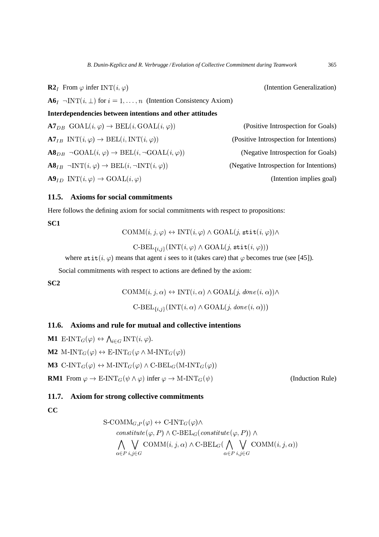**R2**<sub>*I*</sub> From  $\varphi$  infer INT $(i, \varphi)$  (Intention Generalization)  $\mathbf{A6}_I$   $\neg \text{INT}(i, \perp)$  for  $i = 1, \ldots, n$  (Intention Consistency Axiom) **Interdependencies between intentions and other attitudes**  ${\bf A7}_{DB} \ \text{GOAL}(i, \varphi) \rightarrow \text{BEL}(i, \text{GOAL}(i, \varphi))$  (Positive Introspection for Goals)  ${\bf A7}_{IB}$  INT $(i, \varphi) \rightarrow {\rm BEL}(i, {\rm INT}(i, \varphi))$  (Positive Introspection for Intentions)  $\mathbf{A8}_{DB}\ \neg \mathrm{GOAL}(i, \varphi) \rightarrow \mathrm{BEL}(i, \neg \mathrm{GOAL}(i, \varphi))$  (Negative Introspection for Goals)  $\mathbf{A8}_{IB} \neg \text{INT}(i, \varphi) \rightarrow \text{BEL}(i, \neg \text{INT}(i, \varphi))$  (Negative Introspection for Intentions)  $\mathbf{A9}_{ID}$  INT $(i, \varphi) \rightarrow \text{GOAL}(i, \varphi)$ (Intention implies goal)

### **11.5. Axioms for social commitments**

Here follows the defining axiom for social commitments with respect to propositions:

**SC1**

 $\mathrm{COMM}(i, j, \varphi) \leftrightarrow \mathrm{INT}(i, \varphi) \wedge \mathrm{GOAL}(j, \mathtt{stit}(i, \varphi)) \wedge$ 

 $\mathrm{C-BEL}_{\{i,j\}}(\mathrm{INT}(i,\varphi)\wedge\mathrm{GOAL}(j,\mathtt{stit}(i,\varphi)))$ 

where  $\text{stit}(i, \varphi)$  means that agent i sees to it (takes care) that  $\varphi$  becomes true (see [45]).

Social commitments with respect to actions are defined by the axiom:

**SC2**

 $\text{COMM}(i, j, \alpha) \leftrightarrow \text{INT}(i, \alpha) \wedge \text{GOAL}(j, \text{done}(i, \alpha)) \wedge$ 

 $\mathrm{C-BEL}_{\{i,j\}}(\mathrm{INT}(i,\alpha)\wedge\mathrm{GOAL}(j,\mathit{done}(i,\alpha)))$ 

### **11.6. Axioms and rule for mutual and collective intentions**

**M1**  $E\text{-INT}_G(\varphi) \leftrightarrow \bigwedge_{i \in G} \text{INT}(i, \varphi)$ . **M2**  $M\text{-}INT_G(\varphi) \leftrightarrow \text{E-INT}_G(\varphi \land M\text{-}INT_G(\varphi))$ **M3** C-INT<sub>G</sub>( $\varphi$ )  $\leftrightarrow$  M-INT<sub>G</sub>( $\varphi$ )  $\land$  C-BEL<sub>G</sub>(M-INT<sub>G</sub>( $\varphi$ )) **RM1** From  $\varphi \to \text{E-INT}_G(\psi \land \varphi)$  infer  $\varphi \to \text{M-INT}_G(\psi)$ 

## **11.7. Axiom for strong collective commitments**

## **CC**

$$
\begin{aligned}\n\text{S-COMM}_{G,P}(\varphi) &\leftrightarrow \text{C-INT}_{G}(\varphi) \wedge \\
&\text{constitute}(\varphi, P) \wedge \text{C-BEL}_{G}(\text{constitute}(\varphi, P)) \wedge \\
&\bigwedge_{\alpha \in P} \bigvee_{i,j \in G} \text{COMM}(i, j, \alpha) \wedge \text{C-BEL}_{G}(\bigwedge_{\alpha \in P} \bigvee_{i,j \in G} \text{COMM}(i, j, \alpha))\n\end{aligned}
$$

(Induction Rule)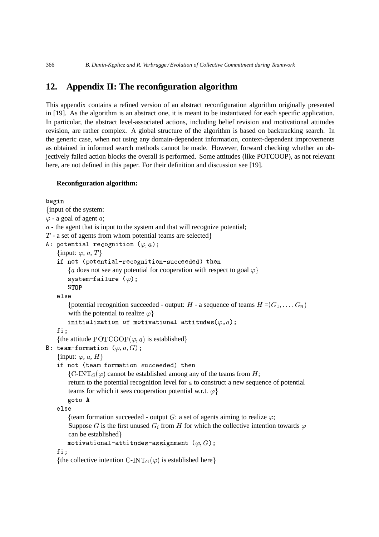# **12. Appendix II: The reconfiguration algorithm**

This appendix contains a refined version of an abstract reconfiguration algorithm originally presented in [19]. As the algorithm is an abstract one, it is meant to be instantiated for each specific application. In particular, the abstract level-associated actions, including belief revision and motivational attitudes revision, are rather complex. A global structure of the algorithm is based on backtracking search. In the generic case, when not using any domain-dependent information, context-dependent improvements as obtained in informed search methods cannot be made. However, forward checking whether an objectively failed action blocks the overall is performed. Some attitudes (like POTCOOP), as not relevant here, are not defined in this paper. For their definition and discussion see [19].

### **Reconfiguration algorithm:**

```
begin
{input of the system:
\varphi - a goal of agent a;
a - the agent that is input to the system and that will recognize potential;
T - a set of agents from whom potential teams are selected\}A: potential-recognition (\varphi,a);
   {input: \varphi, a, T}
    if not (potential-recognition-succeeded) then
       \{a \text{ does not see any potential for cooperation with respect to goal } \varphi\}system-failure (\varphi);
       STOP
    '+
'
        {potential recognition succeeded - output: H - a sequence of teams H = (G_1, \ldots, G_n)with the potential to realize \varphiinitialization-of-motivational-attitudes(\varphi,a);
   fi;
       \mathbf{r}{the attitude \text{POTCOOP}(\varphi, a) is established}
B: team-formation (\varphi.a.G):
   {input: \varphi, a, H}
    if not (team-formation-succeeded) then
       \{C\text{-INT}_G(\varphi) \text{ cannot be established among any of the teams from } H;return to the potential recognition level for a to construct a new sequence of potential
       teams for which it sees cooperation potential w.r.t. \varphigoto A
    '+
'
       {team formation succeeded - output G: a set of agents aiming to realize \varphi;
        Suppose G is the first unused G_i from H for which the collective intention towards \varphican be established }
       motivational-attitudes-assignment (\varphi,G);
   fi:
       \overline{\mathbf{r}}{the collective intention C-INT<sub>G(\varphi)</sub> is established here}
```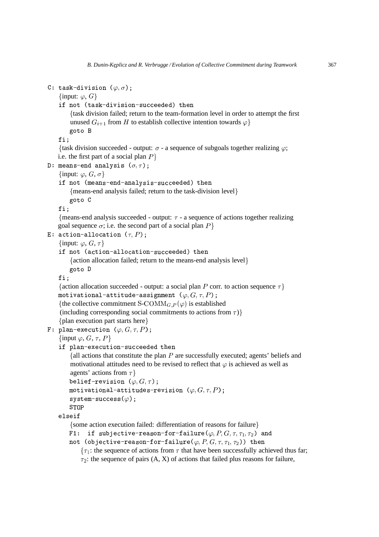```
C: task-division (\varphi,\sigma);
   {input: \varphi, G}
    if not (task-division-succeeded) then
        'task division failed; return to the team-formation level in order to attempt the first
        unused G_{i+1} from H to establish collective intention towards \varphigoto B
   fi;
       \overline{\phantom{a}}{task division succeeded - output: \sigma - a sequence of subgoals together realizing \varphi;
   i.e. the first part of a social plan P}
D: means-end analysis (\sigma, \tau);
   {input: \varphi, G, \sigma}
    if not (means-end-analysis-succeeded) then
        'means-end analysis failed; return to the task-division level+
       goto C
   f i:
       \overline{\phantom{a}}{means-end analysis succeeded - output: \tau - a sequence of actions together realizing
   goal sequence \sigma; i.e. the second part of a social plan P}
E: action-allocation (\tau,P);
   {input: \varphi, G, \tau}
    if not (action-allocation-succeeded) then
       {action allocation failed; return to the means-end analysis level}
       goto D
   f i:\overline{\phantom{a}}{action allocation succeeded - output: a social plan P corr. to action sequence \tau}
    motivational-attitude-assignment (\varphi, G, \tau, P);
    {the collective commitment S-COMM<sub>G, P(\varphi)</sub> is established
    (including corresponding social commitments to actions from \tau)}
    'plan execution part starts here+
F: plan-execution (\varphi,G,\tau,P);
   {input \varphi, G, \tau, P}
    if plan-execution-succeeded then
        {all actions that constitute the plan P are successfully executed; agents' beliefs and
        motivational attitudes need to be revised to reflect that \varphi is achieved as well as
        agents' actions from \tau}
        belief-revision (\varphi,G,\tau);
        motivational-attitudes-revision (\varphi, G, \tau, P) ;
        \texttt{system-success} \left( \varphi \right) ;
       STOP
    elseit i verkende en de en en merkende en en merken. En el en el en el escrit en la region de la comme de la c
       {some action execution failed: differentiation of reasons for failure}
        F1: if subjective-reason-for-failure(\varphi, P, G, \tau, \tau_1, \tau_2) and
        not (objective-reason-for-failure(\varphi, P, G, \tau, \tau_1, \tau_2)) then
            \{\tau_1: the sequence of actions from \tau that have been successfully achieved thus far;
            \tau_2: the sequence of pairs (A, X) of actions that failed plus reasons for failure,
```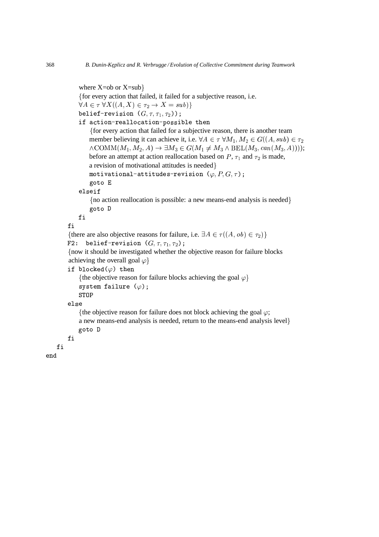```
where X=ob or X=sub\}'for every action that failed, it failed for a subjective reason, i.e.
    \forall A \in \tau \ \forall X ((A, X) \in \tau_2 \rightarrow X = sub) \}belief-revision (G,\tau,\tau_1,\tau_2));
    if action-reallocation-possible then
        'for every action that failed for a subjective reason, there is another team
        member believing it can achieve it, i.e. \forall A \in \tau \ \forall M_1, M_2 \in G((A, sub) \in \tau_2)\wedge \text{COMM}(M_1, M_2, A) \rightarrow \exists M_3 \in G(M_1 \neq M_3 \wedge \text{BEL}(M_3, can(M_3, A))));
        before an attempt at action reallocation based on P, \tau_1 and \tau_2 is made,
        a revision of motivational attitudes is needed }
        motivational-attitudes-revision (\varphi,P,G,\tau) ;
        goto E
    elseit i verkendelse
        \{no\ action\ reallocation\ is\ possible: a new means-end\ analysis\ is\ needed\}goto D
    fi
fi
{there are also objective reasons for failure, i.e. \exists A \in \tau((A, ob) \in \tau_2)}
F2: belief-revision (G,\tau,\tau_1,\tau_2);
'now it should be investigated whether the objective reason for failure blocks
achieving the overall goal \varphiif blocked(\varphi) then
    {the objective reason for failure blocks achieving the goal \varphi}
    system failure (\varphi);
    STOP
else i veden av dels e
    {the objective reason for failure does not block achieving the goal \varphi;
    a new means-end analysis is needed, return to the means-end analysis level+
    goto D
fi
```
fi

end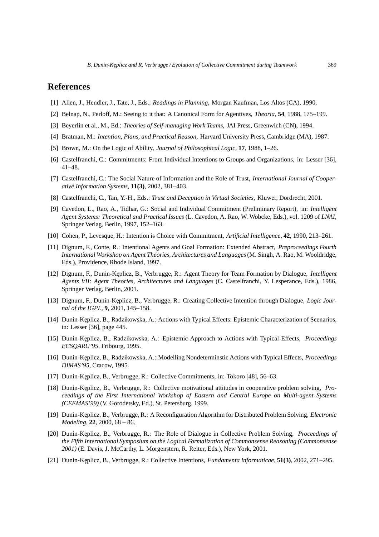# **References**

- [1] Allen, J., Hendler, J., Tate, J., Eds.: *Readings in Planning*, Morgan Kaufman, Los Altos (CA), 1990.
- [2] Belnap, N., Perloff, M.: Seeing to it that: A Canonical Form for Agentives, *Theoria*, **54**, 1988, 175–199.
- [3] Beyerlin et al., M., Ed.: *Theories of Self-managing Work Teams*, JAI Press, Greenwich (CN), 1994.
- [4] Bratman, M.: *Intention, Plans, and Practical Reason*, Harvard University Press, Cambridge (MA), 1987.
- [5] Brown, M.: On the Logic of Ability, *Journal of Philosophical Logic*, **17**, 1988, 1–26.
- [6] Castelfranchi, C.: Commitments: From Individual Intentions to Groups and Organizations, in: Lesser [36], 41–48.
- [7] Castelfranchi, C.: The Social Nature of Information and the Role of Trust, *International Journal of Cooperative Information Systems*, **11(3)**, 2002, 381–403.
- [8] Castelfranchi, C., Tan, Y.-H., Eds.: *Trust and Deception in Virtual Societies*, Kluwer, Dordrecht, 2001.
- [9] Cavedon, L., Rao, A., Tidhar, G.: Social and Individual Commitment (Preliminary Report), in: *Intelligent Agent Systems: Theoretical and Practical Issues* (L. Cavedon, A. Rao, W. Wobcke, Eds.), vol. 1209 of *LNAI*, Springer Verlag, Berlin, 1997, 152–163.
- [10] Cohen, P., Levesque, H.: Intention is Choice with Commitment, *Artificial Intelligence*, **42**, 1990, 213–261.
- [11] Dignum, F., Conte, R.: Intentional Agents and Goal Formation: Extended Abstract, *Preproceedings Fourth International Workshop on Agent Theories, Architectures and Languages*(M. Singh, A. Rao, M. Wooldridge, Eds.), Providence, Rhode Island, 1997.
- [12] Dignum, F., Dunin-Keplicz, B., Verbrugge, R.: Agent Theory for Team Formation by Dialogue, *Intelligent Agents VII: Agent Theories, Architectures and Languages* (C. Castelfranchi, Y. Lesperance, Eds.), 1986, Springer Verlag, Berlin, 2001.
- [13] Dignum, F., Dunin-Keplicz, B., Verbrugge, R.: Creating Collective Intention through Dialogue, *Logic Journal of the IGPL*, **9**, 2001, 145–158.
- [14] Dunin-Keplicz, B., Radzikowska, A.: Actions with Typical Effects: Epistemic Characterization of Scenarios, in: Lesser [36], page 445.
- [15] Dunin-Keplicz, B., Radzikowska, A.: Epistemic Approach to Actions with Typical Effects, *Proceedings ECSQARU'95*, Fribourg, 1995.
- [16] Dunin-Keplicz, B., Radzikowska, A.: Modelling Nondeterminstic Actions with Typical Effects, *Proceedings DIMAS'95*, Cracow, 1995.
- [17] Dunin-Keplicz, B., Verbrugge, R.: Collective Commitments, in: Tokoro [48], 56–63.
- [18] Dunin-Keplicz, B., Verbrugge, R.: Collective motivational attitudes in cooperative problem solving, *Proceedings of the First International Workshop of Eastern and Central Europe on Multi-agent Systems (CEEMAS'99)* (V. Gorodetsky, Ed.), St. Petersburg, 1999.
- [19] Dunin-Ke¸plicz, B., Verbrugge, R.: A Reconfiguration Algorithm for Distributed Problem Solving, *Electronic Modeling*, **22**, 2000, 68 – 86.
- [20] Dunin-Keplicz, B., Verbrugge, R.: The Role of Dialogue in Collective Problem Solving, *Proceedings of the Fifth International Symposium on the Logical Formalization of Commonsense Reasoning (Commonsense 2001)* (E. Davis, J. McCarthy, L. Morgenstern, R. Reiter, Eds.), New York, 2001.
- [21] Dunin-Keplicz, B., Verbrugge, R.: Collective Intentions, *Fundamenta Informaticae*, **51(3)**, 2002, 271–295.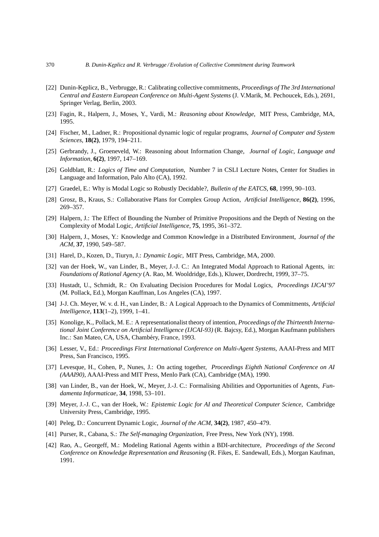- [22] Dunin-Keplicz, B., Verbrugge, R.: Calibrating collective commitments, *Proceedings of The 3rd International Central and Eastern European Conference on Multi-Agent Systems* (J. V.Marik, M. Pechoucek, Eds.), 2691, Springer Verlag, Berlin, 2003.
- [23] Fagin, R., Halpern, J., Moses, Y., Vardi, M.: *Reasoning about Knowledge*, MIT Press, Cambridge, MA, 1995.
- [24] Fischer, M., Ladner, R.: Propositional dynamic logic of regular programs, *Journal of Computer and System Sciences*, **18(2)**, 1979, 194–211.
- [25] Gerbrandy, J., Groeneveld, W.: Reasoning about Information Change, *Journal of Logic, Language and Information*, **6(2)**, 1997, 147–169.
- [26] Goldblatt, R.: *Logics of Time and Computation*, Number 7 in CSLI Lecture Notes, Center for Studies in Language and Information, Palo Alto (CA), 1992.
- [27] Graedel, E.: Why is Modal Logic so Robustly Decidable?, *Bulletin of the EATCS*, **68**, 1999, 90–103.
- [28] Grosz, B., Kraus, S.: Collaborative Plans for Complex Group Action, *Artificial Intelligence*, **86(2)**, 1996, 269–357.
- [29] Halpern, J.: The Effect of Bounding the Number of Primitive Propositions and the Depth of Nesting on the Complexity of Modal Logic, *Artificial Intelligence*, **75**, 1995, 361–372.
- [30] Halpern, J., Moses, Y.: Knowledge and Common Knowledge in a Distributed Environment, *Journal of the ACM*, **37**, 1990, 549–587.
- [31] Harel, D., Kozen, D., Tiuryn, J.: *Dynamic Logic*, MIT Press, Cambridge, MA, 2000.
- [32] van der Hoek, W., van Linder, B., Meyer, J.-J. C.: An Integrated Modal Approach to Rational Agents, in: *Foundations of Rational Agency* (A. Rao, M. Wooldridge, Eds.), Kluwer, Dordrecht, 1999, 37–75.
- [33] Hustadt, U., Schmidt, R.: On Evaluating Decision Procedures for Modal Logics, *Proceedings IJCAI'97* (M. Pollack, Ed.), Morgan Kauffman, Los Angeles (CA), 1997.
- [34] J-J. Ch. Meyer, W. v. d. H., van Linder, B.: A Logical Approach to the Dynamics of Commitments, *Artificial Intelligence*, **113**(1–2), 1999, 1–41.
- [35] Konolige, K., Pollack, M. E.: A representationalist theory of intention, *Proceedings of the Thirteenth International Joint Conference on Artificial Intelligence (IJCAI-93)* (R. Bajcsy, Ed.), Morgan Kaufmann publishers Inc.: San Mateo, CA, USA, Chambéry, France, 1993.
- [36] Lesser, V., Ed.: *Proceedings First International Conference on Multi-Agent Systems*, AAAI-Press and MIT Press, San Francisco, 1995.
- [37] Levesque, H., Cohen, P., Nunes, J.: On acting together, *Proceedings Eighth National Conference on AI (AAAI90)*, AAAI-Press and MIT Press, Menlo Park (CA), Cambridge (MA), 1990.
- [38] van Linder, B., van der Hoek, W., Meyer, J.-J. C.: Formalising Abilities and Opportunities of Agents, *Fundamenta Informaticae*, **34**, 1998, 53–101.
- [39] Meyer, J.-J. C., van der Hoek, W.: *Epistemic Logic for AI and Theoretical Computer Science*, Cambridge University Press, Cambridge, 1995.
- [40] Peleg, D.: Concurrent Dynamic Logic, *Journal of the ACM*, **34(2)**, 1987, 450–479.
- [41] Purser, R., Cabana, S.: *The Self-managing Organization*, Free Press, New York (NY), 1998.
- [42] Rao, A., Georgeff, M.: Modeling Rational Agents within a BDI-architecture, *Proceedings of the Second Conference on Knowledge Representation and Reasoning* (R. Fikes, E. Sandewall, Eds.), Morgan Kaufman, 1991.